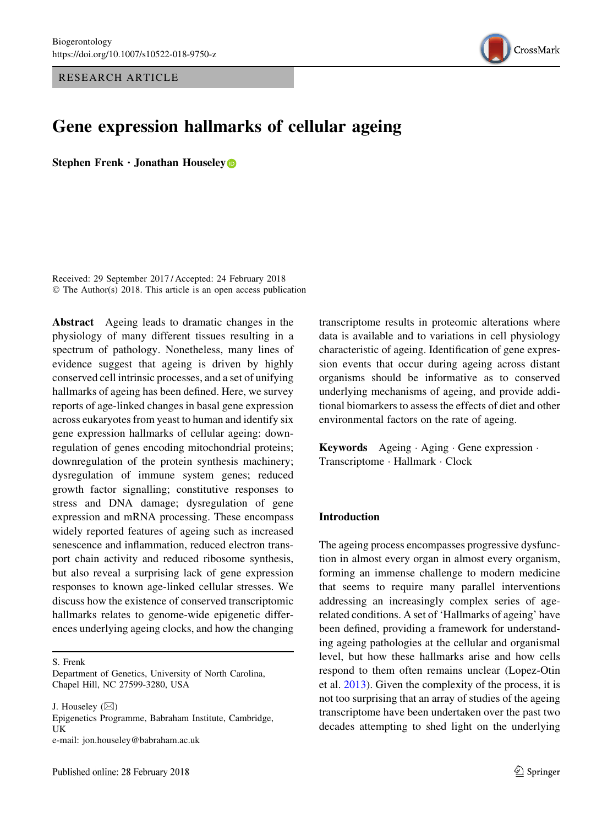RESEARCH ARTICLE



# Gene expression hallmarks of cellular ageing

Stephen Frenk  $\cdot$  Jonathan Houseley

Received: 29 September 2017 / Accepted: 24 February 2018 © The Author(s) 2018. This article is an open access publication

Abstract Ageing leads to dramatic changes in the physiology of many different tissues resulting in a spectrum of pathology. Nonetheless, many lines of evidence suggest that ageing is driven by highly conserved cell intrinsic processes, and a set of unifying hallmarks of ageing has been defined. Here, we survey reports of age-linked changes in basal gene expression across eukaryotes from yeast to human and identify six gene expression hallmarks of cellular ageing: downregulation of genes encoding mitochondrial proteins; downregulation of the protein synthesis machinery; dysregulation of immune system genes; reduced growth factor signalling; constitutive responses to stress and DNA damage; dysregulation of gene expression and mRNA processing. These encompass widely reported features of ageing such as increased senescence and inflammation, reduced electron transport chain activity and reduced ribosome synthesis, but also reveal a surprising lack of gene expression responses to known age-linked cellular stresses. We discuss how the existence of conserved transcriptomic hallmarks relates to genome-wide epigenetic differences underlying ageing clocks, and how the changing

S. Frenk

J. Houseley  $(\boxtimes)$ 

Epigenetics Programme, Babraham Institute, Cambridge, UK e-mail: jon.houseley@babraham.ac.uk

transcriptome results in proteomic alterations where data is available and to variations in cell physiology characteristic of ageing. Identification of gene expression events that occur during ageing across distant organisms should be informative as to conserved underlying mechanisms of ageing, and provide additional biomarkers to assess the effects of diet and other environmental factors on the rate of ageing.

Keywords Ageing · Aging · Gene expression · Transcriptome - Hallmark - Clock

#### Introduction

The ageing process encompasses progressive dysfunction in almost every organ in almost every organism, forming an immense challenge to modern medicine that seems to require many parallel interventions addressing an increasingly complex series of agerelated conditions. A set of 'Hallmarks of ageing' have been defined, providing a framework for understanding ageing pathologies at the cellular and organismal level, but how these hallmarks arise and how cells respond to them often remains unclear (Lopez-Otin et al. [2013](#page-16-0)). Given the complexity of the process, it is not too surprising that an array of studies of the ageing transcriptome have been undertaken over the past two decades attempting to shed light on the underlying

Department of Genetics, University of North Carolina, Chapel Hill, NC 27599-3280, USA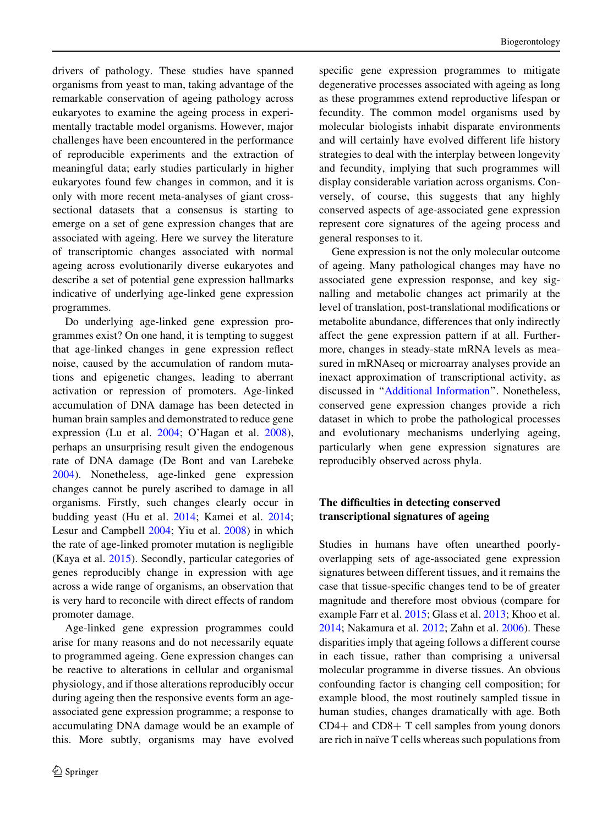drivers of pathology. These studies have spanned organisms from yeast to man, taking advantage of the remarkable conservation of ageing pathology across eukaryotes to examine the ageing process in experimentally tractable model organisms. However, major challenges have been encountered in the performance of reproducible experiments and the extraction of meaningful data; early studies particularly in higher eukaryotes found few changes in common, and it is only with more recent meta-analyses of giant crosssectional datasets that a consensus is starting to emerge on a set of gene expression changes that are associated with ageing. Here we survey the literature of transcriptomic changes associated with normal ageing across evolutionarily diverse eukaryotes and describe a set of potential gene expression hallmarks indicative of underlying age-linked gene expression programmes.

Do underlying age-linked gene expression programmes exist? On one hand, it is tempting to suggest that age-linked changes in gene expression reflect noise, caused by the accumulation of random mutations and epigenetic changes, leading to aberrant activation or repression of promoters. Age-linked accumulation of DNA damage has been detected in human brain samples and demonstrated to reduce gene expression (Lu et al. [2004](#page-16-0); O'Hagan et al. [2008](#page-17-0)), perhaps an unsurprising result given the endogenous rate of DNA damage (De Bont and van Larebeke [2004\)](#page-14-0). Nonetheless, age-linked gene expression changes cannot be purely ascribed to damage in all organisms. Firstly, such changes clearly occur in budding yeast (Hu et al. [2014;](#page-15-0) Kamei et al. [2014](#page-15-0); Lesur and Campbell [2004;](#page-16-0) Yiu et al. [2008](#page-19-0)) in which the rate of age-linked promoter mutation is negligible (Kaya et al. [2015](#page-16-0)). Secondly, particular categories of genes reproducibly change in expression with age across a wide range of organisms, an observation that is very hard to reconcile with direct effects of random promoter damage.

Age-linked gene expression programmes could arise for many reasons and do not necessarily equate to programmed ageing. Gene expression changes can be reactive to alterations in cellular and organismal physiology, and if those alterations reproducibly occur during ageing then the responsive events form an ageassociated gene expression programme; a response to accumulating DNA damage would be an example of this. More subtly, organisms may have evolved specific gene expression programmes to mitigate degenerative processes associated with ageing as long as these programmes extend reproductive lifespan or fecundity. The common model organisms used by molecular biologists inhabit disparate environments and will certainly have evolved different life history strategies to deal with the interplay between longevity and fecundity, implying that such programmes will display considerable variation across organisms. Conversely, of course, this suggests that any highly conserved aspects of age-associated gene expression represent core signatures of the ageing process and general responses to it.

Gene expression is not the only molecular outcome of ageing. Many pathological changes may have no associated gene expression response, and key signalling and metabolic changes act primarily at the level of translation, post-translational modifications or metabolite abundance, differences that only indirectly affect the gene expression pattern if at all. Furthermore, changes in steady-state mRNA levels as measured in mRNAseq or microarray analyses provide an inexact approximation of transcriptional activity, as discussed in '['Additional Information](#page-12-0)''. Nonetheless, conserved gene expression changes provide a rich dataset in which to probe the pathological processes and evolutionary mechanisms underlying ageing, particularly when gene expression signatures are reproducibly observed across phyla.

# The difficulties in detecting conserved transcriptional signatures of ageing

Studies in humans have often unearthed poorlyoverlapping sets of age-associated gene expression signatures between different tissues, and it remains the case that tissue-specific changes tend to be of greater magnitude and therefore most obvious (compare for example Farr et al. [2015](#page-14-0); Glass et al. [2013;](#page-15-0) Khoo et al. [2014;](#page-16-0) Nakamura et al. [2012;](#page-17-0) Zahn et al. [2006\)](#page-19-0). These disparities imply that ageing follows a different course in each tissue, rather than comprising a universal molecular programme in diverse tissues. An obvious confounding factor is changing cell composition; for example blood, the most routinely sampled tissue in human studies, changes dramatically with age. Both  $CD4+$  and  $CD8+$  T cell samples from young donors are rich in naïve T cells whereas such populations from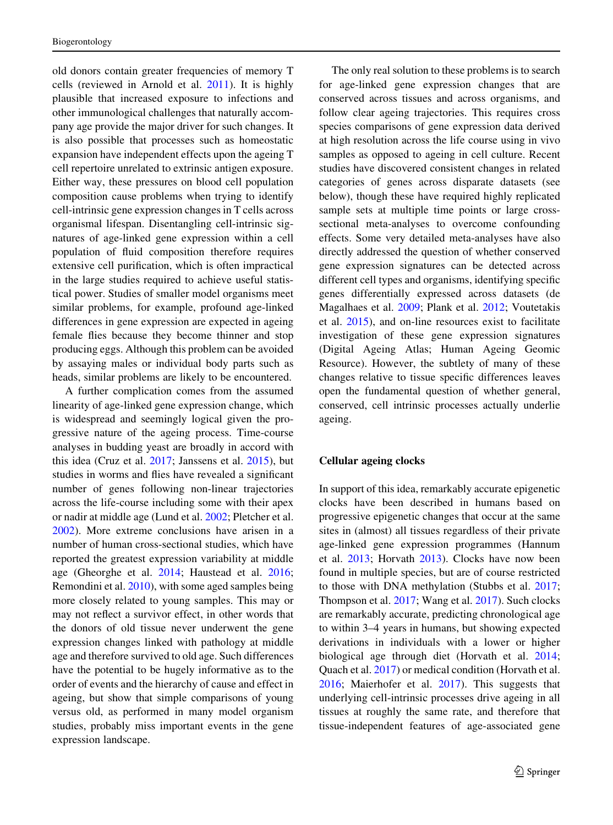old donors contain greater frequencies of memory T cells (reviewed in Arnold et al. [2011\)](#page-13-0). It is highly plausible that increased exposure to infections and other immunological challenges that naturally accompany age provide the major driver for such changes. It is also possible that processes such as homeostatic expansion have independent effects upon the ageing T cell repertoire unrelated to extrinsic antigen exposure. Either way, these pressures on blood cell population composition cause problems when trying to identify cell-intrinsic gene expression changes in T cells across organismal lifespan. Disentangling cell-intrinsic signatures of age-linked gene expression within a cell population of fluid composition therefore requires extensive cell purification, which is often impractical in the large studies required to achieve useful statistical power. Studies of smaller model organisms meet similar problems, for example, profound age-linked differences in gene expression are expected in ageing female flies because they become thinner and stop producing eggs. Although this problem can be avoided by assaying males or individual body parts such as heads, similar problems are likely to be encountered.

A further complication comes from the assumed linearity of age-linked gene expression change, which is widespread and seemingly logical given the progressive nature of the ageing process. Time-course analyses in budding yeast are broadly in accord with this idea (Cruz et al. [2017;](#page-14-0) Janssens et al. [2015](#page-15-0)), but studies in worms and flies have revealed a significant number of genes following non-linear trajectories across the life-course including some with their apex or nadir at middle age (Lund et al. [2002](#page-17-0); Pletcher et al. [2002\)](#page-17-0). More extreme conclusions have arisen in a number of human cross-sectional studies, which have reported the greatest expression variability at middle age (Gheorghe et al. [2014](#page-15-0); Haustead et al. [2016](#page-15-0); Remondini et al. [2010](#page-18-0)), with some aged samples being more closely related to young samples. This may or may not reflect a survivor effect, in other words that the donors of old tissue never underwent the gene expression changes linked with pathology at middle age and therefore survived to old age. Such differences have the potential to be hugely informative as to the order of events and the hierarchy of cause and effect in ageing, but show that simple comparisons of young versus old, as performed in many model organism studies, probably miss important events in the gene expression landscape.

The only real solution to these problems is to search for age-linked gene expression changes that are conserved across tissues and across organisms, and follow clear ageing trajectories. This requires cross species comparisons of gene expression data derived at high resolution across the life course using in vivo samples as opposed to ageing in cell culture. Recent studies have discovered consistent changes in related categories of genes across disparate datasets (see below), though these have required highly replicated sample sets at multiple time points or large crosssectional meta-analyses to overcome confounding effects. Some very detailed meta-analyses have also directly addressed the question of whether conserved gene expression signatures can be detected across different cell types and organisms, identifying specific genes differentially expressed across datasets (de Magalhaes et al. [2009](#page-14-0); Plank et al. [2012;](#page-17-0) Voutetakis et al. [2015](#page-18-0)), and on-line resources exist to facilitate investigation of these gene expression signatures (Digital Ageing Atlas; Human Ageing Geomic Resource). However, the subtlety of many of these changes relative to tissue specific differences leaves open the fundamental question of whether general, conserved, cell intrinsic processes actually underlie ageing.

## Cellular ageing clocks

In support of this idea, remarkably accurate epigenetic clocks have been described in humans based on progressive epigenetic changes that occur at the same sites in (almost) all tissues regardless of their private age-linked gene expression programmes (Hannum et al. [2013](#page-15-0); Horvath [2013\)](#page-15-0). Clocks have now been found in multiple species, but are of course restricted to those with DNA methylation (Stubbs et al. [2017](#page-18-0); Thompson et al. [2017;](#page-18-0) Wang et al. [2017](#page-19-0)). Such clocks are remarkably accurate, predicting chronological age to within 3–4 years in humans, but showing expected derivations in individuals with a lower or higher biological age through diet (Horvath et al. [2014](#page-15-0); Quach et al. [2017\)](#page-17-0) or medical condition (Horvath et al. [2016;](#page-15-0) Maierhofer et al. [2017](#page-17-0)). This suggests that underlying cell-intrinsic processes drive ageing in all tissues at roughly the same rate, and therefore that tissue-independent features of age-associated gene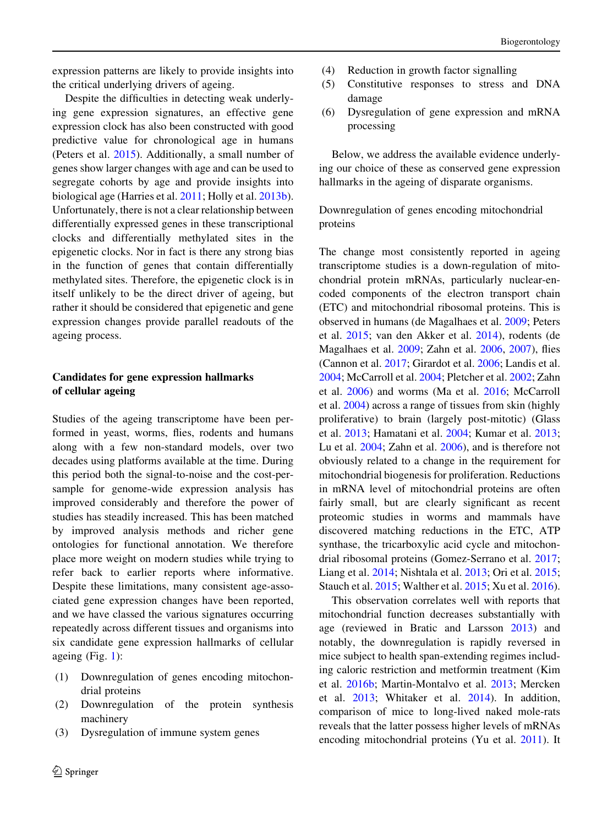expression patterns are likely to provide insights into the critical underlying drivers of ageing.

Despite the difficulties in detecting weak underlying gene expression signatures, an effective gene expression clock has also been constructed with good predictive value for chronological age in humans (Peters et al. [2015\)](#page-17-0). Additionally, a small number of genes show larger changes with age and can be used to segregate cohorts by age and provide insights into biological age (Harries et al. [2011;](#page-15-0) Holly et al. [2013b](#page-15-0)). Unfortunately, there is not a clear relationship between differentially expressed genes in these transcriptional clocks and differentially methylated sites in the epigenetic clocks. Nor in fact is there any strong bias in the function of genes that contain differentially methylated sites. Therefore, the epigenetic clock is in itself unlikely to be the direct driver of ageing, but rather it should be considered that epigenetic and gene expression changes provide parallel readouts of the ageing process.

# Candidates for gene expression hallmarks of cellular ageing

Studies of the ageing transcriptome have been performed in yeast, worms, flies, rodents and humans along with a few non-standard models, over two decades using platforms available at the time. During this period both the signal-to-noise and the cost-persample for genome-wide expression analysis has improved considerably and therefore the power of studies has steadily increased. This has been matched by improved analysis methods and richer gene ontologies for functional annotation. We therefore place more weight on modern studies while trying to refer back to earlier reports where informative. Despite these limitations, many consistent age-associated gene expression changes have been reported, and we have classed the various signatures occurring repeatedly across different tissues and organisms into six candidate gene expression hallmarks of cellular ageing (Fig. [1\)](#page-12-0):

- (1) Downregulation of genes encoding mitochondrial proteins
- (2) Downregulation of the protein synthesis machinery
- (3) Dysregulation of immune system genes
- (4) Reduction in growth factor signalling
- (5) Constitutive responses to stress and DNA damage
- (6) Dysregulation of gene expression and mRNA processing

Below, we address the available evidence underlying our choice of these as conserved gene expression hallmarks in the ageing of disparate organisms.

Downregulation of genes encoding mitochondrial proteins

The change most consistently reported in ageing transcriptome studies is a down-regulation of mitochondrial protein mRNAs, particularly nuclear-encoded components of the electron transport chain (ETC) and mitochondrial ribosomal proteins. This is observed in humans (de Magalhaes et al. [2009;](#page-14-0) Peters et al. [2015](#page-17-0); van den Akker et al. [2014\)](#page-18-0), rodents (de Magalhaes et al. [2009](#page-14-0); Zahn et al. [2006,](#page-19-0) [2007\)](#page-19-0), flies (Cannon et al. [2017](#page-14-0); Girardot et al. [2006](#page-15-0); Landis et al. [2004;](#page-16-0) McCarroll et al. [2004](#page-17-0); Pletcher et al. [2002;](#page-17-0) Zahn et al. [2006\)](#page-19-0) and worms (Ma et al. [2016;](#page-17-0) McCarroll et al. [2004\)](#page-17-0) across a range of tissues from skin (highly proliferative) to brain (largely post-mitotic) (Glass et al. [2013;](#page-15-0) Hamatani et al. [2004](#page-15-0); Kumar et al. [2013](#page-16-0); Lu et al. [2004](#page-16-0); Zahn et al. [2006](#page-19-0)), and is therefore not obviously related to a change in the requirement for mitochondrial biogenesis for proliferation. Reductions in mRNA level of mitochondrial proteins are often fairly small, but are clearly significant as recent proteomic studies in worms and mammals have discovered matching reductions in the ETC, ATP synthase, the tricarboxylic acid cycle and mitochondrial ribosomal proteins (Gomez-Serrano et al. [2017](#page-15-0); Liang et al. [2014](#page-16-0); Nishtala et al. [2013;](#page-17-0) Ori et al. [2015](#page-17-0); Stauch et al. [2015;](#page-18-0) Walther et al. [2015;](#page-19-0) Xu et al. [2016](#page-19-0)).

This observation correlates well with reports that mitochondrial function decreases substantially with age (reviewed in Bratic and Larsson [2013](#page-14-0)) and notably, the downregulation is rapidly reversed in mice subject to health span-extending regimes including caloric restriction and metformin treatment (Kim et al. [2016b](#page-16-0); Martin-Montalvo et al. [2013](#page-17-0); Mercken et al. [2013;](#page-17-0) Whitaker et al. [2014\)](#page-19-0). In addition, comparison of mice to long-lived naked mole-rats reveals that the latter possess higher levels of mRNAs encoding mitochondrial proteins (Yu et al. [2011\)](#page-19-0). It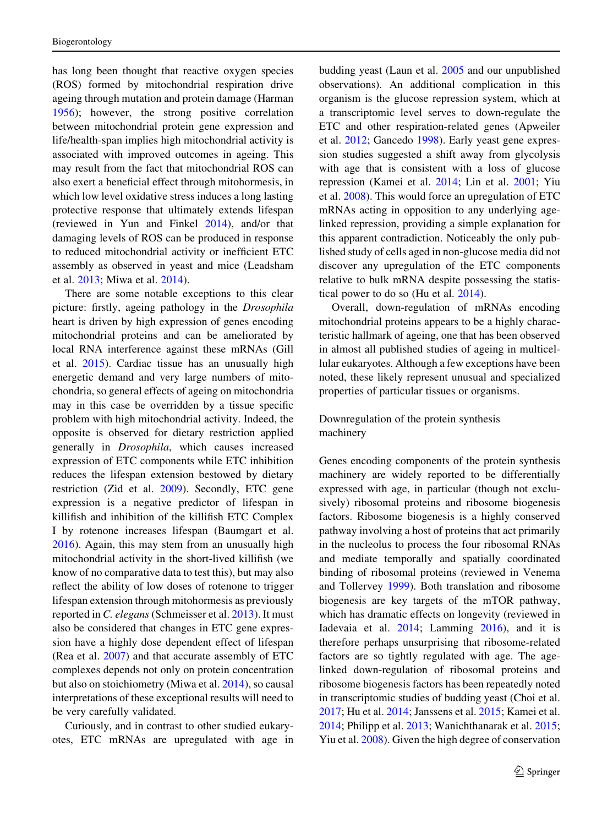has long been thought that reactive oxygen species (ROS) formed by mitochondrial respiration drive ageing through mutation and protein damage (Harman [1956\)](#page-15-0); however, the strong positive correlation between mitochondrial protein gene expression and life/health-span implies high mitochondrial activity is associated with improved outcomes in ageing. This may result from the fact that mitochondrial ROS can also exert a beneficial effect through mitohormesis, in which low level oxidative stress induces a long lasting protective response that ultimately extends lifespan (reviewed in Yun and Finkel [2014](#page-19-0)), and/or that damaging levels of ROS can be produced in response to reduced mitochondrial activity or inefficient ETC assembly as observed in yeast and mice (Leadsham et al. [2013](#page-16-0); Miwa et al. [2014\)](#page-17-0).

There are some notable exceptions to this clear picture: firstly, ageing pathology in the Drosophila heart is driven by high expression of genes encoding mitochondrial proteins and can be ameliorated by local RNA interference against these mRNAs (Gill et al. [2015\)](#page-15-0). Cardiac tissue has an unusually high energetic demand and very large numbers of mitochondria, so general effects of ageing on mitochondria may in this case be overridden by a tissue specific problem with high mitochondrial activity. Indeed, the opposite is observed for dietary restriction applied generally in Drosophila, which causes increased expression of ETC components while ETC inhibition reduces the lifespan extension bestowed by dietary restriction (Zid et al. [2009\)](#page-19-0). Secondly, ETC gene expression is a negative predictor of lifespan in killifish and inhibition of the killifish ETC Complex I by rotenone increases lifespan (Baumgart et al. [2016\)](#page-14-0). Again, this may stem from an unusually high mitochondrial activity in the short-lived killifish (we know of no comparative data to test this), but may also reflect the ability of low doses of rotenone to trigger lifespan extension through mitohormesis as previously reported in C. elegans (Schmeisser et al. [2013](#page-18-0)). It must also be considered that changes in ETC gene expression have a highly dose dependent effect of lifespan (Rea et al. [2007](#page-18-0)) and that accurate assembly of ETC complexes depends not only on protein concentration but also on stoichiometry (Miwa et al. [2014](#page-17-0)), so causal interpretations of these exceptional results will need to be very carefully validated.

Curiously, and in contrast to other studied eukaryotes, ETC mRNAs are upregulated with age in budding yeast (Laun et al. [2005](#page-16-0) and our unpublished observations). An additional complication in this organism is the glucose repression system, which at a transcriptomic level serves to down-regulate the ETC and other respiration-related genes (Apweiler et al. [2012;](#page-13-0) Gancedo [1998](#page-15-0)). Early yeast gene expression studies suggested a shift away from glycolysis with age that is consistent with a loss of glucose repression (Kamei et al. [2014;](#page-15-0) Lin et al. [2001;](#page-16-0) Yiu et al. [2008\)](#page-19-0). This would force an upregulation of ETC mRNAs acting in opposition to any underlying agelinked repression, providing a simple explanation for this apparent contradiction. Noticeably the only published study of cells aged in non-glucose media did not discover any upregulation of the ETC components relative to bulk mRNA despite possessing the statistical power to do so (Hu et al. [2014\)](#page-15-0).

Overall, down-regulation of mRNAs encoding mitochondrial proteins appears to be a highly characteristic hallmark of ageing, one that has been observed in almost all published studies of ageing in multicellular eukaryotes. Although a few exceptions have been noted, these likely represent unusual and specialized properties of particular tissues or organisms.

## Downregulation of the protein synthesis machinery

Genes encoding components of the protein synthesis machinery are widely reported to be differentially expressed with age, in particular (though not exclusively) ribosomal proteins and ribosome biogenesis factors. Ribosome biogenesis is a highly conserved pathway involving a host of proteins that act primarily in the nucleolus to process the four ribosomal RNAs and mediate temporally and spatially coordinated binding of ribosomal proteins (reviewed in Venema and Tollervey [1999\)](#page-18-0). Both translation and ribosome biogenesis are key targets of the mTOR pathway, which has dramatic effects on longevity (reviewed in Iadevaia et al. [2014;](#page-15-0) Lamming [2016\)](#page-16-0), and it is therefore perhaps unsurprising that ribosome-related factors are so tightly regulated with age. The agelinked down-regulation of ribosomal proteins and ribosome biogenesis factors has been repeatedly noted in transcriptomic studies of budding yeast (Choi et al. [2017;](#page-14-0) Hu et al. [2014](#page-15-0); Janssens et al. [2015;](#page-15-0) Kamei et al. [2014;](#page-15-0) Philipp et al. [2013;](#page-17-0) Wanichthanarak et al. [2015](#page-19-0); Yiu et al. [2008\)](#page-19-0). Given the high degree of conservation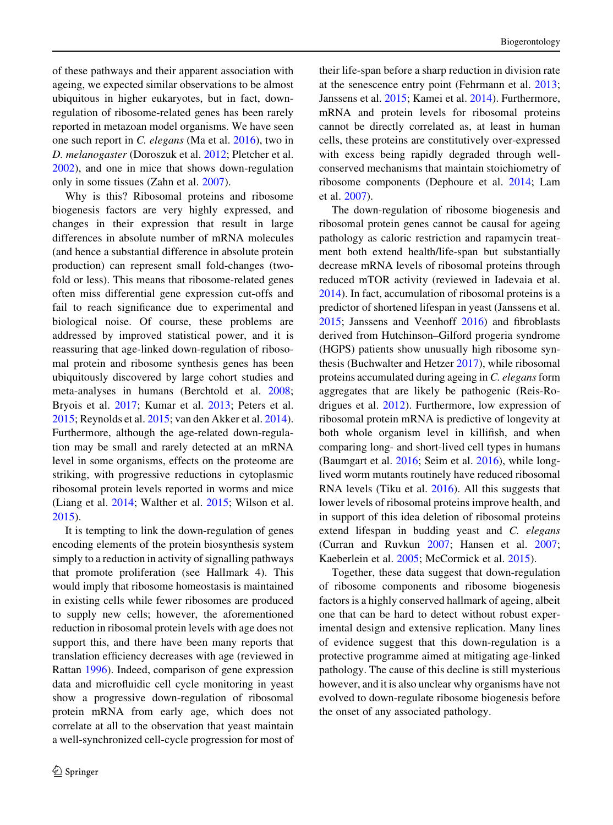of these pathways and their apparent association with ageing, we expected similar observations to be almost ubiquitous in higher eukaryotes, but in fact, downregulation of ribosome-related genes has been rarely reported in metazoan model organisms. We have seen one such report in C. elegans (Ma et al. [2016](#page-17-0)), two in D. melanogaster (Doroszuk et al. [2012](#page-14-0); Pletcher et al. [2002\)](#page-17-0), and one in mice that shows down-regulation only in some tissues (Zahn et al. [2007\)](#page-19-0).

Why is this? Ribosomal proteins and ribosome biogenesis factors are very highly expressed, and changes in their expression that result in large differences in absolute number of mRNA molecules (and hence a substantial difference in absolute protein production) can represent small fold-changes (twofold or less). This means that ribosome-related genes often miss differential gene expression cut-offs and fail to reach significance due to experimental and biological noise. Of course, these problems are addressed by improved statistical power, and it is reassuring that age-linked down-regulation of ribosomal protein and ribosome synthesis genes has been ubiquitously discovered by large cohort studies and meta-analyses in humans (Berchtold et al. [2008](#page-14-0); Bryois et al. [2017](#page-14-0); Kumar et al. [2013;](#page-16-0) Peters et al. [2015;](#page-17-0) Reynolds et al. [2015;](#page-18-0) van den Akker et al. [2014](#page-18-0)). Furthermore, although the age-related down-regulation may be small and rarely detected at an mRNA level in some organisms, effects on the proteome are striking, with progressive reductions in cytoplasmic ribosomal protein levels reported in worms and mice (Liang et al. [2014;](#page-16-0) Walther et al. [2015](#page-19-0); Wilson et al. [2015\)](#page-19-0).

It is tempting to link the down-regulation of genes encoding elements of the protein biosynthesis system simply to a reduction in activity of signalling pathways that promote proliferation (see Hallmark 4). This would imply that ribosome homeostasis is maintained in existing cells while fewer ribosomes are produced to supply new cells; however, the aforementioned reduction in ribosomal protein levels with age does not support this, and there have been many reports that translation efficiency decreases with age (reviewed in Rattan [1996\)](#page-18-0). Indeed, comparison of gene expression data and microfluidic cell cycle monitoring in yeast show a progressive down-regulation of ribosomal protein mRNA from early age, which does not correlate at all to the observation that yeast maintain a well-synchronized cell-cycle progression for most of their life-span before a sharp reduction in division rate at the senescence entry point (Fehrmann et al. [2013](#page-14-0); Janssens et al. [2015](#page-15-0); Kamei et al. [2014\)](#page-15-0). Furthermore, mRNA and protein levels for ribosomal proteins cannot be directly correlated as, at least in human cells, these proteins are constitutively over-expressed with excess being rapidly degraded through wellconserved mechanisms that maintain stoichiometry of ribosome components (Dephoure et al. [2014](#page-14-0); Lam et al. [2007](#page-16-0)).

The down-regulation of ribosome biogenesis and ribosomal protein genes cannot be causal for ageing pathology as caloric restriction and rapamycin treatment both extend health/life-span but substantially decrease mRNA levels of ribosomal proteins through reduced mTOR activity (reviewed in Iadevaia et al. [2014\)](#page-15-0). In fact, accumulation of ribosomal proteins is a predictor of shortened lifespan in yeast (Janssens et al. [2015;](#page-15-0) Janssens and Veenhoff [2016](#page-15-0)) and fibroblasts derived from Hutchinson–Gilford progeria syndrome (HGPS) patients show unusually high ribosome synthesis (Buchwalter and Hetzer [2017\)](#page-14-0), while ribosomal proteins accumulated during ageing in C. elegans form aggregates that are likely be pathogenic (Reis-Rodrigues et al. [2012\)](#page-18-0). Furthermore, low expression of ribosomal protein mRNA is predictive of longevity at both whole organism level in killifish, and when comparing long- and short-lived cell types in humans (Baumgart et al. [2016](#page-14-0); Seim et al. [2016](#page-18-0)), while longlived worm mutants routinely have reduced ribosomal RNA levels (Tiku et al. [2016](#page-18-0)). All this suggests that lower levels of ribosomal proteins improve health, and in support of this idea deletion of ribosomal proteins extend lifespan in budding yeast and C. elegans (Curran and Ruvkun [2007;](#page-14-0) Hansen et al. [2007](#page-15-0); Kaeberlein et al. [2005](#page-15-0); McCormick et al. [2015\)](#page-17-0).

Together, these data suggest that down-regulation of ribosome components and ribosome biogenesis factors is a highly conserved hallmark of ageing, albeit one that can be hard to detect without robust experimental design and extensive replication. Many lines of evidence suggest that this down-regulation is a protective programme aimed at mitigating age-linked pathology. The cause of this decline is still mysterious however, and it is also unclear why organisms have not evolved to down-regulate ribosome biogenesis before the onset of any associated pathology.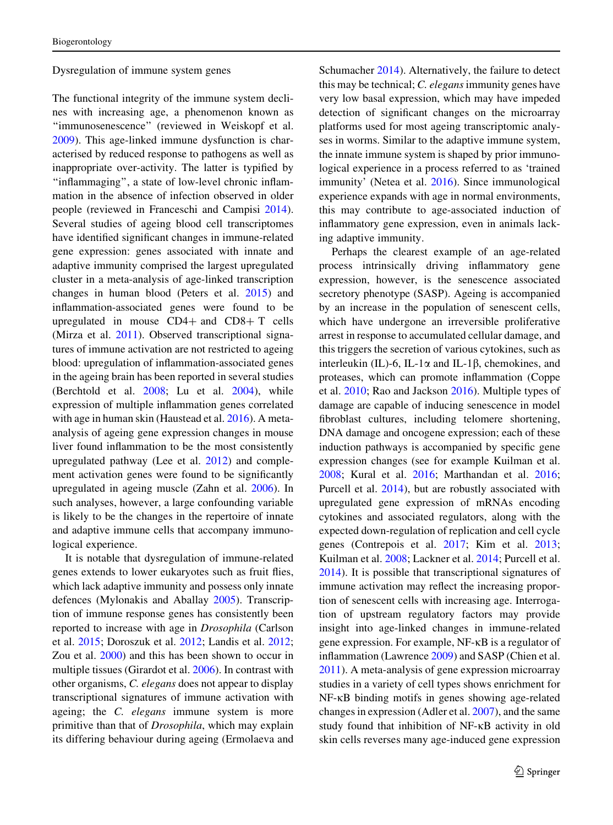#### Dysregulation of immune system genes

The functional integrity of the immune system declines with increasing age, a phenomenon known as "immunosenescence" (reviewed in Weiskopf et al. [2009\)](#page-19-0). This age-linked immune dysfunction is characterised by reduced response to pathogens as well as inappropriate over-activity. The latter is typified by ''inflammaging'', a state of low-level chronic inflammation in the absence of infection observed in older people (reviewed in Franceschi and Campisi [2014](#page-15-0)). Several studies of ageing blood cell transcriptomes have identified significant changes in immune-related gene expression: genes associated with innate and adaptive immunity comprised the largest upregulated cluster in a meta-analysis of age-linked transcription changes in human blood (Peters et al. [2015](#page-17-0)) and inflammation-associated genes were found to be upregulated in mouse  $CD4+$  and  $CD8+$  T cells (Mirza et al. [2011](#page-17-0)). Observed transcriptional signatures of immune activation are not restricted to ageing blood: upregulation of inflammation-associated genes in the ageing brain has been reported in several studies (Berchtold et al. [2008;](#page-14-0) Lu et al. [2004](#page-16-0)), while expression of multiple inflammation genes correlated with age in human skin (Haustead et al. [2016\)](#page-15-0). A metaanalysis of ageing gene expression changes in mouse liver found inflammation to be the most consistently upregulated pathway (Lee et al. [2012\)](#page-16-0) and complement activation genes were found to be significantly upregulated in ageing muscle (Zahn et al. [2006](#page-19-0)). In such analyses, however, a large confounding variable is likely to be the changes in the repertoire of innate and adaptive immune cells that accompany immunological experience.

It is notable that dysregulation of immune-related genes extends to lower eukaryotes such as fruit flies, which lack adaptive immunity and possess only innate defences (Mylonakis and Aballay [2005\)](#page-17-0). Transcription of immune response genes has consistently been reported to increase with age in Drosophila (Carlson et al. [2015;](#page-14-0) Doroszuk et al. [2012](#page-14-0); Landis et al. [2012](#page-16-0); Zou et al. [2000](#page-19-0)) and this has been shown to occur in multiple tissues (Girardot et al. [2006](#page-15-0)). In contrast with other organisms, C. elegans does not appear to display transcriptional signatures of immune activation with ageing; the C. elegans immune system is more primitive than that of Drosophila, which may explain its differing behaviour during ageing (Ermolaeva and

Schumacher [2014\)](#page-14-0). Alternatively, the failure to detect this may be technical; C. elegans immunity genes have very low basal expression, which may have impeded detection of significant changes on the microarray platforms used for most ageing transcriptomic analyses in worms. Similar to the adaptive immune system, the innate immune system is shaped by prior immunological experience in a process referred to as 'trained immunity' (Netea et al. [2016\)](#page-17-0). Since immunological experience expands with age in normal environments, this may contribute to age-associated induction of inflammatory gene expression, even in animals lacking adaptive immunity.

Perhaps the clearest example of an age-related process intrinsically driving inflammatory gene expression, however, is the senescence associated secretory phenotype (SASP). Ageing is accompanied by an increase in the population of senescent cells, which have undergone an irreversible proliferative arrest in response to accumulated cellular damage, and this triggers the secretion of various cytokines, such as interleukin (IL)-6, IL-1 $\alpha$  and IL-1 $\beta$ , chemokines, and proteases, which can promote inflammation (Coppe et al. [2010](#page-14-0); Rao and Jackson [2016\)](#page-18-0). Multiple types of damage are capable of inducing senescence in model fibroblast cultures, including telomere shortening, DNA damage and oncogene expression; each of these induction pathways is accompanied by specific gene expression changes (see for example Kuilman et al. [2008;](#page-16-0) Kural et al. [2016](#page-16-0); Marthandan et al. [2016](#page-17-0); Purcell et al. [2014\)](#page-17-0), but are robustly associated with upregulated gene expression of mRNAs encoding cytokines and associated regulators, along with the expected down-regulation of replication and cell cycle genes (Contrepois et al. [2017;](#page-14-0) Kim et al. [2013](#page-16-0); Kuilman et al. [2008;](#page-16-0) Lackner et al. [2014](#page-16-0); Purcell et al. [2014\)](#page-17-0). It is possible that transcriptional signatures of immune activation may reflect the increasing proportion of senescent cells with increasing age. Interrogation of upstream regulatory factors may provide insight into age-linked changes in immune-related gene expression. For example,  $NF$ - $\kappa$ B is a regulator of inflammation (Lawrence [2009\)](#page-16-0) and SASP (Chien et al. [2011\)](#page-14-0). A meta-analysis of gene expression microarray studies in a variety of cell types shows enrichment for NF-KB binding motifs in genes showing age-related changes in expression (Adler et al. [2007\)](#page-13-0), and the same study found that inhibition of NF-KB activity in old skin cells reverses many age-induced gene expression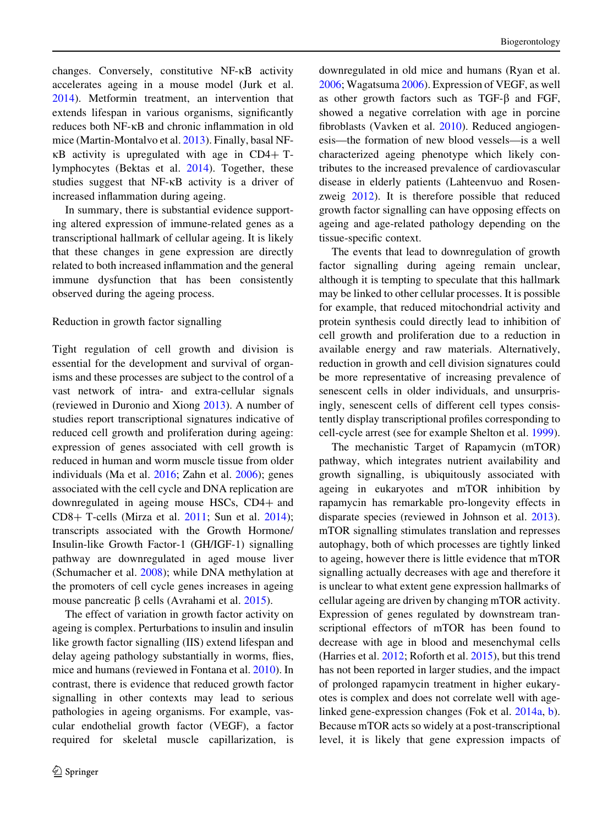changes. Conversely, constitutive  $NF$ - $\kappa$ B activity accelerates ageing in a mouse model (Jurk et al. [2014\)](#page-15-0). Metformin treatment, an intervention that extends lifespan in various organisms, significantly reduces both NF-KB and chronic inflammation in old mice (Martin-Montalvo et al. [2013](#page-17-0)). Finally, basal NF- $\kappa$ B activity is upregulated with age in CD4+ Tlymphocytes (Bektas et al. [2014\)](#page-14-0). Together, these studies suggest that  $NF-\kappa B$  activity is a driver of increased inflammation during ageing.

In summary, there is substantial evidence supporting altered expression of immune-related genes as a transcriptional hallmark of cellular ageing. It is likely that these changes in gene expression are directly related to both increased inflammation and the general immune dysfunction that has been consistently observed during the ageing process.

#### Reduction in growth factor signalling

Tight regulation of cell growth and division is essential for the development and survival of organisms and these processes are subject to the control of a vast network of intra- and extra-cellular signals (reviewed in Duronio and Xiong [2013\)](#page-14-0). A number of studies report transcriptional signatures indicative of reduced cell growth and proliferation during ageing: expression of genes associated with cell growth is reduced in human and worm muscle tissue from older individuals (Ma et al. [2016](#page-17-0); Zahn et al. [2006](#page-19-0)); genes associated with the cell cycle and DNA replication are downregulated in ageing mouse HSCs, CD4+ and CD8+ T-cells (Mirza et al.  $2011$ ; Sun et al.  $2014$ ); transcripts associated with the Growth Hormone/ Insulin-like Growth Factor-1 (GH/IGF-1) signalling pathway are downregulated in aged mouse liver (Schumacher et al. [2008](#page-18-0)); while DNA methylation at the promoters of cell cycle genes increases in ageing mouse pancreatic  $\beta$  cells (Avrahami et al. [2015\)](#page-13-0).

The effect of variation in growth factor activity on ageing is complex. Perturbations to insulin and insulin like growth factor signalling (IIS) extend lifespan and delay ageing pathology substantially in worms, flies, mice and humans (reviewed in Fontana et al. [2010\)](#page-14-0). In contrast, there is evidence that reduced growth factor signalling in other contexts may lead to serious pathologies in ageing organisms. For example, vascular endothelial growth factor (VEGF), a factor required for skeletal muscle capillarization, is

downregulated in old mice and humans (Ryan et al. [2006;](#page-18-0) Wagatsuma [2006\)](#page-19-0). Expression of VEGF, as well as other growth factors such as TGF- $\beta$  and FGF, showed a negative correlation with age in porcine fibroblasts (Vavken et al. [2010](#page-18-0)). Reduced angiogenesis—the formation of new blood vessels—is a well characterized ageing phenotype which likely contributes to the increased prevalence of cardiovascular disease in elderly patients (Lahteenvuo and Rosenzweig [2012](#page-16-0)). It is therefore possible that reduced growth factor signalling can have opposing effects on ageing and age-related pathology depending on the tissue-specific context.

The events that lead to downregulation of growth factor signalling during ageing remain unclear, although it is tempting to speculate that this hallmark may be linked to other cellular processes. It is possible for example, that reduced mitochondrial activity and protein synthesis could directly lead to inhibition of cell growth and proliferation due to a reduction in available energy and raw materials. Alternatively, reduction in growth and cell division signatures could be more representative of increasing prevalence of senescent cells in older individuals, and unsurprisingly, senescent cells of different cell types consistently display transcriptional profiles corresponding to cell-cycle arrest (see for example Shelton et al. [1999](#page-18-0)).

The mechanistic Target of Rapamycin (mTOR) pathway, which integrates nutrient availability and growth signalling, is ubiquitously associated with ageing in eukaryotes and mTOR inhibition by rapamycin has remarkable pro-longevity effects in disparate species (reviewed in Johnson et al. [2013](#page-15-0)). mTOR signalling stimulates translation and represses autophagy, both of which processes are tightly linked to ageing, however there is little evidence that mTOR signalling actually decreases with age and therefore it is unclear to what extent gene expression hallmarks of cellular ageing are driven by changing mTOR activity. Expression of genes regulated by downstream transcriptional effectors of mTOR has been found to decrease with age in blood and mesenchymal cells (Harries et al. [2012;](#page-15-0) Roforth et al. [2015](#page-18-0)), but this trend has not been reported in larger studies, and the impact of prolonged rapamycin treatment in higher eukaryotes is complex and does not correlate well with agelinked gene-expression changes (Fok et al. [2014a](#page-14-0), [b](#page-14-0)). Because mTOR acts so widely at a post-transcriptional level, it is likely that gene expression impacts of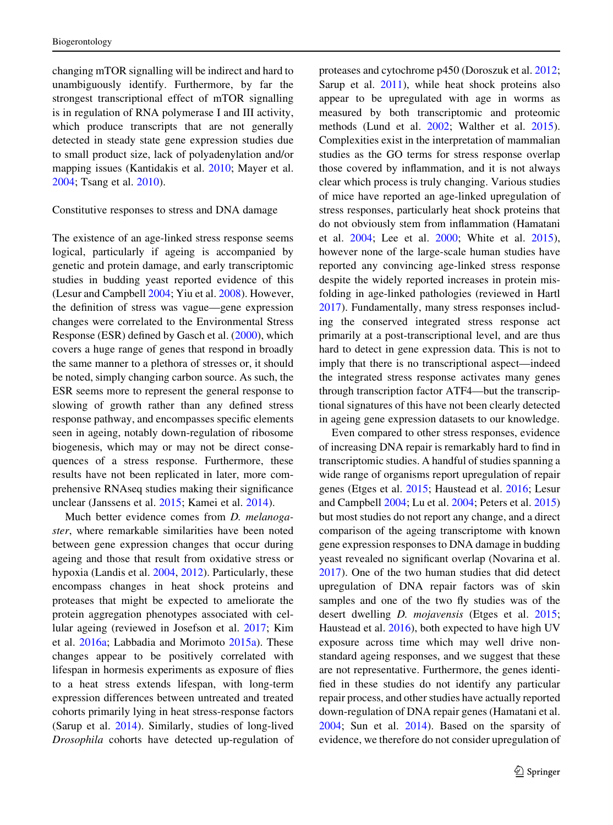changing mTOR signalling will be indirect and hard to unambiguously identify. Furthermore, by far the strongest transcriptional effect of mTOR signalling is in regulation of RNA polymerase I and III activity, which produce transcripts that are not generally detected in steady state gene expression studies due to small product size, lack of polyadenylation and/or mapping issues (Kantidakis et al. [2010](#page-16-0); Mayer et al. [2004;](#page-17-0) Tsang et al. [2010](#page-18-0)).

#### Constitutive responses to stress and DNA damage

The existence of an age-linked stress response seems logical, particularly if ageing is accompanied by genetic and protein damage, and early transcriptomic studies in budding yeast reported evidence of this (Lesur and Campbell [2004](#page-16-0); Yiu et al. [2008](#page-19-0)). However, the definition of stress was vague—gene expression changes were correlated to the Environmental Stress Response (ESR) defined by Gasch et al. ([2000\)](#page-15-0), which covers a huge range of genes that respond in broadly the same manner to a plethora of stresses or, it should be noted, simply changing carbon source. As such, the ESR seems more to represent the general response to slowing of growth rather than any defined stress response pathway, and encompasses specific elements seen in ageing, notably down-regulation of ribosome biogenesis, which may or may not be direct consequences of a stress response. Furthermore, these results have not been replicated in later, more comprehensive RNAseq studies making their significance unclear (Janssens et al. [2015](#page-15-0); Kamei et al. [2014\)](#page-15-0).

Much better evidence comes from *D. melanoga*ster, where remarkable similarities have been noted between gene expression changes that occur during ageing and those that result from oxidative stress or hypoxia (Landis et al. [2004,](#page-16-0) [2012\)](#page-16-0). Particularly, these encompass changes in heat shock proteins and proteases that might be expected to ameliorate the protein aggregation phenotypes associated with cellular ageing (reviewed in Josefson et al. [2017;](#page-15-0) Kim et al. [2016a](#page-16-0); Labbadia and Morimoto [2015a\)](#page-16-0). These changes appear to be positively correlated with lifespan in hormesis experiments as exposure of flies to a heat stress extends lifespan, with long-term expression differences between untreated and treated cohorts primarily lying in heat stress-response factors (Sarup et al. [2014\)](#page-18-0). Similarly, studies of long-lived Drosophila cohorts have detected up-regulation of proteases and cytochrome p450 (Doroszuk et al. [2012](#page-14-0); Sarup et al. [2011\)](#page-18-0), while heat shock proteins also appear to be upregulated with age in worms as measured by both transcriptomic and proteomic methods (Lund et al. [2002](#page-17-0); Walther et al. [2015](#page-19-0)). Complexities exist in the interpretation of mammalian studies as the GO terms for stress response overlap those covered by inflammation, and it is not always clear which process is truly changing. Various studies of mice have reported an age-linked upregulation of stress responses, particularly heat shock proteins that do not obviously stem from inflammation (Hamatani et al. [2004;](#page-15-0) Lee et al. [2000;](#page-16-0) White et al. [2015](#page-19-0)), however none of the large-scale human studies have reported any convincing age-linked stress response despite the widely reported increases in protein misfolding in age-linked pathologies (reviewed in Hartl [2017\)](#page-15-0). Fundamentally, many stress responses including the conserved integrated stress response act primarily at a post-transcriptional level, and are thus hard to detect in gene expression data. This is not to imply that there is no transcriptional aspect—indeed the integrated stress response activates many genes through transcription factor ATF4—but the transcriptional signatures of this have not been clearly detected in ageing gene expression datasets to our knowledge.

Even compared to other stress responses, evidence of increasing DNA repair is remarkably hard to find in transcriptomic studies. A handful of studies spanning a wide range of organisms report upregulation of repair genes (Etges et al. [2015](#page-14-0); Haustead et al. [2016;](#page-15-0) Lesur and Campbell [2004](#page-16-0); Lu et al. [2004](#page-16-0); Peters et al. [2015\)](#page-17-0) but most studies do not report any change, and a direct comparison of the ageing transcriptome with known gene expression responses to DNA damage in budding yeast revealed no significant overlap (Novarina et al. [2017\)](#page-17-0). One of the two human studies that did detect upregulation of DNA repair factors was of skin samples and one of the two fly studies was of the desert dwelling *D. mojavensis* (Etges et al. [2015](#page-14-0); Haustead et al. [2016\)](#page-15-0), both expected to have high UV exposure across time which may well drive nonstandard ageing responses, and we suggest that these are not representative. Furthermore, the genes identified in these studies do not identify any particular repair process, and other studies have actually reported down-regulation of DNA repair genes (Hamatani et al. [2004;](#page-15-0) Sun et al. [2014\)](#page-18-0). Based on the sparsity of evidence, we therefore do not consider upregulation of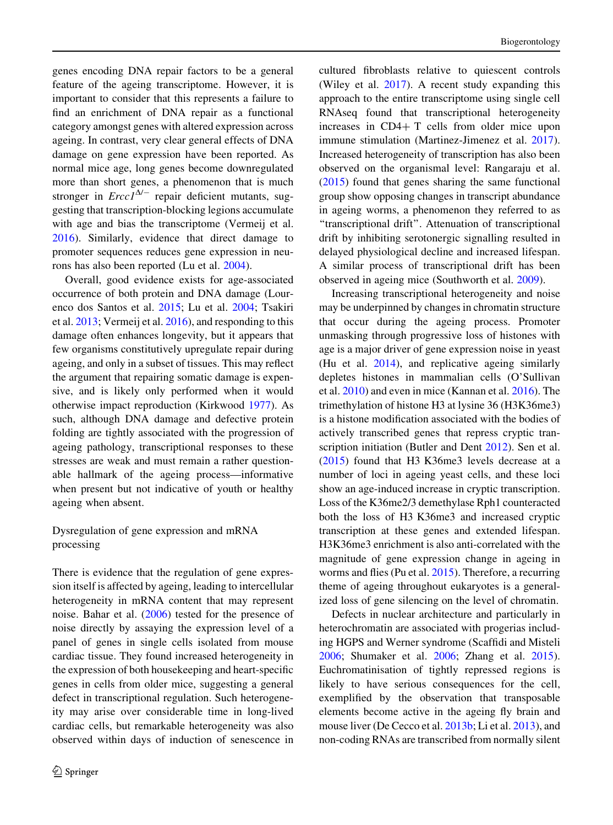genes encoding DNA repair factors to be a general feature of the ageing transcriptome. However, it is important to consider that this represents a failure to find an enrichment of DNA repair as a functional category amongst genes with altered expression across ageing. In contrast, very clear general effects of DNA damage on gene expression have been reported. As normal mice age, long genes become downregulated more than short genes, a phenomenon that is much stronger in  $Ercc1^{\Delta/-}$  repair deficient mutants, suggesting that transcription-blocking legions accumulate with age and bias the transcriptome (Vermeij et al. [2016\)](#page-18-0). Similarly, evidence that direct damage to promoter sequences reduces gene expression in neurons has also been reported (Lu et al. [2004](#page-16-0)).

Overall, good evidence exists for age-associated occurrence of both protein and DNA damage (Lourenco dos Santos et al. [2015;](#page-16-0) Lu et al. [2004](#page-16-0); Tsakiri et al. [2013;](#page-18-0) Vermeij et al. [2016\)](#page-18-0), and responding to this damage often enhances longevity, but it appears that few organisms constitutively upregulate repair during ageing, and only in a subset of tissues. This may reflect the argument that repairing somatic damage is expensive, and is likely only performed when it would otherwise impact reproduction (Kirkwood [1977\)](#page-16-0). As such, although DNA damage and defective protein folding are tightly associated with the progression of ageing pathology, transcriptional responses to these stresses are weak and must remain a rather questionable hallmark of the ageing process—informative when present but not indicative of youth or healthy ageing when absent.

## Dysregulation of gene expression and mRNA processing

There is evidence that the regulation of gene expression itself is affected by ageing, leading to intercellular heterogeneity in mRNA content that may represent noise. Bahar et al. ([2006\)](#page-14-0) tested for the presence of noise directly by assaying the expression level of a panel of genes in single cells isolated from mouse cardiac tissue. They found increased heterogeneity in the expression of both housekeeping and heart-specific genes in cells from older mice, suggesting a general defect in transcriptional regulation. Such heterogeneity may arise over considerable time in long-lived cardiac cells, but remarkable heterogeneity was also observed within days of induction of senescence in

cultured fibroblasts relative to quiescent controls (Wiley et al. [2017](#page-19-0)). A recent study expanding this approach to the entire transcriptome using single cell RNAseq found that transcriptional heterogeneity increases in  $CD4+T$  cells from older mice upon immune stimulation (Martinez-Jimenez et al. [2017](#page-17-0)). Increased heterogeneity of transcription has also been observed on the organismal level: Rangaraju et al. [\(2015](#page-17-0)) found that genes sharing the same functional group show opposing changes in transcript abundance in ageing worms, a phenomenon they referred to as ''transcriptional drift''. Attenuation of transcriptional drift by inhibiting serotonergic signalling resulted in delayed physiological decline and increased lifespan. A similar process of transcriptional drift has been observed in ageing mice (Southworth et al. [2009](#page-18-0)).

Increasing transcriptional heterogeneity and noise may be underpinned by changes in chromatin structure that occur during the ageing process. Promoter unmasking through progressive loss of histones with age is a major driver of gene expression noise in yeast (Hu et al. [2014\)](#page-15-0), and replicative ageing similarly depletes histones in mammalian cells (O'Sullivan et al. [2010\)](#page-17-0) and even in mice (Kannan et al. [2016\)](#page-15-0). The trimethylation of histone H3 at lysine 36 (H3K36me3) is a histone modification associated with the bodies of actively transcribed genes that repress cryptic transcription initiation (Butler and Dent [2012](#page-14-0)). Sen et al. [\(2015](#page-18-0)) found that H3 K36me3 levels decrease at a number of loci in ageing yeast cells, and these loci show an age-induced increase in cryptic transcription. Loss of the K36me2/3 demethylase Rph1 counteracted both the loss of H3 K36me3 and increased cryptic transcription at these genes and extended lifespan. H3K36me3 enrichment is also anti-correlated with the magnitude of gene expression change in ageing in worms and flies (Pu et al. [2015\)](#page-17-0). Therefore, a recurring theme of ageing throughout eukaryotes is a generalized loss of gene silencing on the level of chromatin.

Defects in nuclear architecture and particularly in heterochromatin are associated with progerias including HGPS and Werner syndrome (Scaffidi and Misteli [2006;](#page-18-0) Shumaker et al. [2006](#page-18-0); Zhang et al. [2015](#page-19-0)). Euchromatinisation of tightly repressed regions is likely to have serious consequences for the cell, exemplified by the observation that transposable elements become active in the ageing fly brain and mouse liver (De Cecco et al. [2013b](#page-14-0); Li et al. [2013](#page-16-0)), and non-coding RNAs are transcribed from normally silent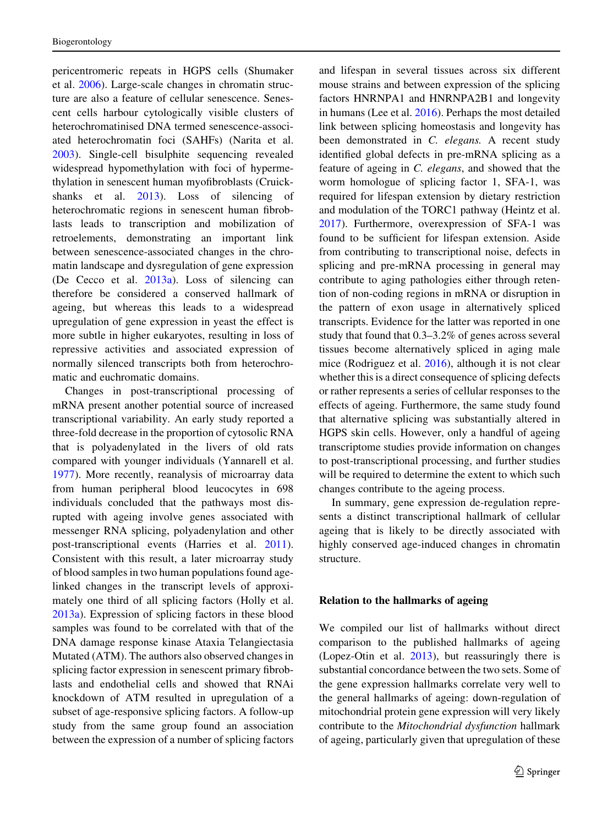pericentromeric repeats in HGPS cells (Shumaker et al. [2006](#page-18-0)). Large-scale changes in chromatin structure are also a feature of cellular senescence. Senescent cells harbour cytologically visible clusters of heterochromatinised DNA termed senescence-associated heterochromatin foci (SAHFs) (Narita et al. [2003\)](#page-17-0). Single-cell bisulphite sequencing revealed widespread hypomethylation with foci of hypermethylation in senescent human myofibroblasts (Cruickshanks et al. [2013\)](#page-14-0). Loss of silencing of heterochromatic regions in senescent human fibroblasts leads to transcription and mobilization of retroelements, demonstrating an important link between senescence-associated changes in the chromatin landscape and dysregulation of gene expression (De Cecco et al. [2013a\)](#page-14-0). Loss of silencing can therefore be considered a conserved hallmark of ageing, but whereas this leads to a widespread upregulation of gene expression in yeast the effect is more subtle in higher eukaryotes, resulting in loss of repressive activities and associated expression of normally silenced transcripts both from heterochromatic and euchromatic domains.

Changes in post-transcriptional processing of mRNA present another potential source of increased transcriptional variability. An early study reported a three-fold decrease in the proportion of cytosolic RNA that is polyadenylated in the livers of old rats compared with younger individuals (Yannarell et al. [1977\)](#page-19-0). More recently, reanalysis of microarray data from human peripheral blood leucocytes in 698 individuals concluded that the pathways most disrupted with ageing involve genes associated with messenger RNA splicing, polyadenylation and other post-transcriptional events (Harries et al. [2011](#page-15-0)). Consistent with this result, a later microarray study of blood samples in two human populations found agelinked changes in the transcript levels of approximately one third of all splicing factors (Holly et al. [2013a](#page-15-0)). Expression of splicing factors in these blood samples was found to be correlated with that of the DNA damage response kinase Ataxia Telangiectasia Mutated (ATM). The authors also observed changes in splicing factor expression in senescent primary fibroblasts and endothelial cells and showed that RNAi knockdown of ATM resulted in upregulation of a subset of age-responsive splicing factors. A follow-up study from the same group found an association between the expression of a number of splicing factors

and lifespan in several tissues across six different mouse strains and between expression of the splicing factors HNRNPA1 and HNRNPA2B1 and longevity in humans (Lee et al. [2016](#page-16-0)). Perhaps the most detailed link between splicing homeostasis and longevity has been demonstrated in C. elegans. A recent study identified global defects in pre-mRNA splicing as a feature of ageing in C. elegans, and showed that the worm homologue of splicing factor 1, SFA-1, was required for lifespan extension by dietary restriction and modulation of the TORC1 pathway (Heintz et al. [2017\)](#page-15-0). Furthermore, overexpression of SFA-1 was found to be sufficient for lifespan extension. Aside from contributing to transcriptional noise, defects in splicing and pre-mRNA processing in general may contribute to aging pathologies either through retention of non-coding regions in mRNA or disruption in the pattern of exon usage in alternatively spliced transcripts. Evidence for the latter was reported in one study that found that 0.3–3.2% of genes across several tissues become alternatively spliced in aging male mice (Rodriguez et al. [2016](#page-18-0)), although it is not clear whether this is a direct consequence of splicing defects or rather represents a series of cellular responses to the effects of ageing. Furthermore, the same study found that alternative splicing was substantially altered in HGPS skin cells. However, only a handful of ageing transcriptome studies provide information on changes to post-transcriptional processing, and further studies will be required to determine the extent to which such changes contribute to the ageing process.

In summary, gene expression de-regulation represents a distinct transcriptional hallmark of cellular ageing that is likely to be directly associated with highly conserved age-induced changes in chromatin structure.

#### Relation to the hallmarks of ageing

We compiled our list of hallmarks without direct comparison to the published hallmarks of ageing (Lopez-Otin et al. [2013](#page-16-0)), but reassuringly there is substantial concordance between the two sets. Some of the gene expression hallmarks correlate very well to the general hallmarks of ageing: down-regulation of mitochondrial protein gene expression will very likely contribute to the Mitochondrial dysfunction hallmark of ageing, particularly given that upregulation of these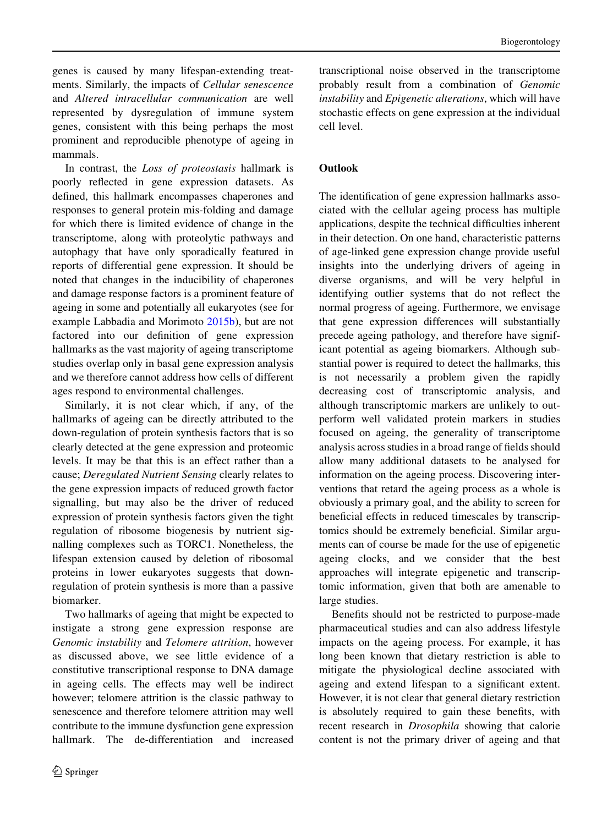genes is caused by many lifespan-extending treatments. Similarly, the impacts of Cellular senescence and Altered intracellular communication are well represented by dysregulation of immune system genes, consistent with this being perhaps the most prominent and reproducible phenotype of ageing in mammals.

In contrast, the Loss of proteostasis hallmark is poorly reflected in gene expression datasets. As defined, this hallmark encompasses chaperones and responses to general protein mis-folding and damage for which there is limited evidence of change in the transcriptome, along with proteolytic pathways and autophagy that have only sporadically featured in reports of differential gene expression. It should be noted that changes in the inducibility of chaperones and damage response factors is a prominent feature of ageing in some and potentially all eukaryotes (see for example Labbadia and Morimoto [2015b\)](#page-16-0), but are not factored into our definition of gene expression hallmarks as the vast majority of ageing transcriptome studies overlap only in basal gene expression analysis and we therefore cannot address how cells of different ages respond to environmental challenges.

Similarly, it is not clear which, if any, of the hallmarks of ageing can be directly attributed to the down-regulation of protein synthesis factors that is so clearly detected at the gene expression and proteomic levels. It may be that this is an effect rather than a cause; Deregulated Nutrient Sensing clearly relates to the gene expression impacts of reduced growth factor signalling, but may also be the driver of reduced expression of protein synthesis factors given the tight regulation of ribosome biogenesis by nutrient signalling complexes such as TORC1. Nonetheless, the lifespan extension caused by deletion of ribosomal proteins in lower eukaryotes suggests that downregulation of protein synthesis is more than a passive biomarker.

Two hallmarks of ageing that might be expected to instigate a strong gene expression response are Genomic instability and Telomere attrition, however as discussed above, we see little evidence of a constitutive transcriptional response to DNA damage in ageing cells. The effects may well be indirect however; telomere attrition is the classic pathway to senescence and therefore telomere attrition may well contribute to the immune dysfunction gene expression hallmark. The de-differentiation and increased

transcriptional noise observed in the transcriptome probably result from a combination of Genomic instability and Epigenetic alterations, which will have stochastic effects on gene expression at the individual cell level.

# **Outlook**

The identification of gene expression hallmarks associated with the cellular ageing process has multiple applications, despite the technical difficulties inherent in their detection. On one hand, characteristic patterns of age-linked gene expression change provide useful insights into the underlying drivers of ageing in diverse organisms, and will be very helpful in identifying outlier systems that do not reflect the normal progress of ageing. Furthermore, we envisage that gene expression differences will substantially precede ageing pathology, and therefore have significant potential as ageing biomarkers. Although substantial power is required to detect the hallmarks, this is not necessarily a problem given the rapidly decreasing cost of transcriptomic analysis, and although transcriptomic markers are unlikely to outperform well validated protein markers in studies focused on ageing, the generality of transcriptome analysis across studies in a broad range of fields should allow many additional datasets to be analysed for information on the ageing process. Discovering interventions that retard the ageing process as a whole is obviously a primary goal, and the ability to screen for beneficial effects in reduced timescales by transcriptomics should be extremely beneficial. Similar arguments can of course be made for the use of epigenetic ageing clocks, and we consider that the best approaches will integrate epigenetic and transcriptomic information, given that both are amenable to large studies.

Benefits should not be restricted to purpose-made pharmaceutical studies and can also address lifestyle impacts on the ageing process. For example, it has long been known that dietary restriction is able to mitigate the physiological decline associated with ageing and extend lifespan to a significant extent. However, it is not clear that general dietary restriction is absolutely required to gain these benefits, with recent research in Drosophila showing that calorie content is not the primary driver of ageing and that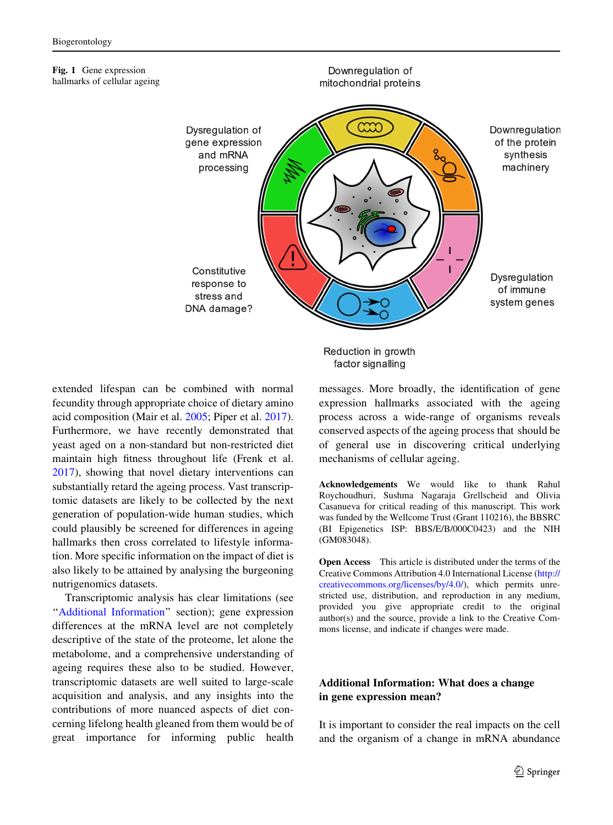#### <span id="page-12-0"></span>Fig. 1 Gene expression hallmarks of cellular ageing



extended lifespan can be combined with normal fecundity through appropriate choice of dietary amino acid composition (Mair et al. [2005](#page-17-0); Piper et al. [2017](#page-17-0)). Furthermore, we have recently demonstrated that yeast aged on a non-standard but non-restricted diet maintain high fitness throughout life (Frenk et al. [2017\)](#page-15-0), showing that novel dietary interventions can substantially retard the ageing process. Vast transcriptomic datasets are likely to be collected by the next generation of population-wide human studies, which could plausibly be screened for differences in ageing hallmarks then cross correlated to lifestyle information. More specific information on the impact of diet is also likely to be attained by analysing the burgeoning nutrigenomics datasets.

Transcriptomic analysis has clear limitations (see ''Additional Information'' section); gene expression differences at the mRNA level are not completely descriptive of the state of the proteome, let alone the metabolome, and a comprehensive understanding of ageing requires these also to be studied. However, transcriptomic datasets are well suited to large-scale acquisition and analysis, and any insights into the contributions of more nuanced aspects of diet concerning lifelong health gleaned from them would be of great importance for informing public health Reduction in growth factor signalling

messages. More broadly, the identification of gene expression hallmarks associated with the ageing process across a wide-range of organisms reveals conserved aspects of the ageing process that should be of general use in discovering critical underlying mechanisms of cellular ageing.

Acknowledgements We would like to thank Rahul Roychoudhuri, Sushma Nagaraja Grellscheid and Olivia Casanueva for critical reading of this manuscript. This work was funded by the Wellcome Trust (Grant 110216), the BBSRC (BI Epigenetics ISP: BBS/E/B/000C0423) and the NIH (GM083048).

Open Access This article is distributed under the terms of the Creative Commons Attribution 4.0 International License ([http://](http://creativecommons.org/licenses/by/4.0/) [creativecommons.org/licenses/by/4.0/\)](http://creativecommons.org/licenses/by/4.0/), which permits unrestricted use, distribution, and reproduction in any medium, provided you give appropriate credit to the original author(s) and the source, provide a link to the Creative Commons license, and indicate if changes were made.

# Additional Information: What does a change in gene expression mean?

It is important to consider the real impacts on the cell and the organism of a change in mRNA abundance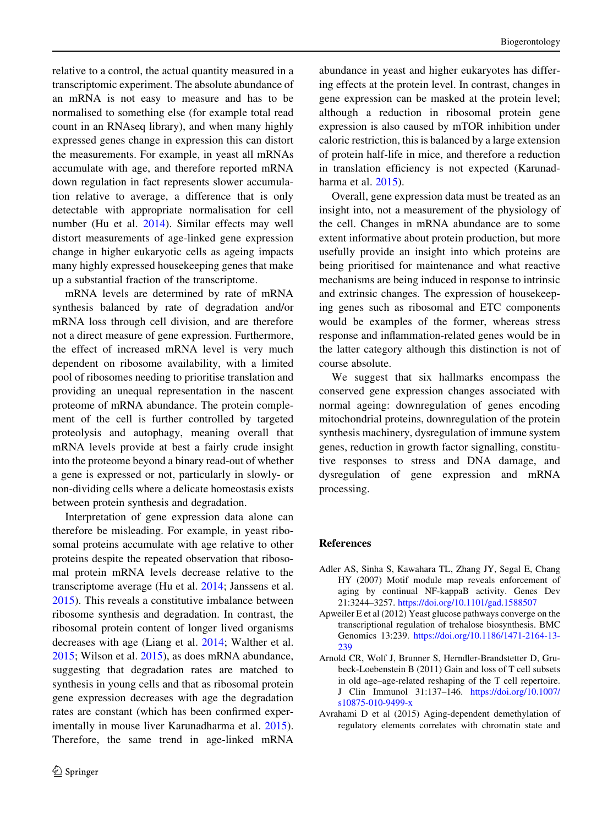<span id="page-13-0"></span>relative to a control, the actual quantity measured in a transcriptomic experiment. The absolute abundance of an mRNA is not easy to measure and has to be normalised to something else (for example total read count in an RNAseq library), and when many highly expressed genes change in expression this can distort the measurements. For example, in yeast all mRNAs accumulate with age, and therefore reported mRNA down regulation in fact represents slower accumulation relative to average, a difference that is only detectable with appropriate normalisation for cell number (Hu et al. [2014\)](#page-15-0). Similar effects may well distort measurements of age-linked gene expression change in higher eukaryotic cells as ageing impacts many highly expressed housekeeping genes that make up a substantial fraction of the transcriptome.

mRNA levels are determined by rate of mRNA synthesis balanced by rate of degradation and/or mRNA loss through cell division, and are therefore not a direct measure of gene expression. Furthermore, the effect of increased mRNA level is very much dependent on ribosome availability, with a limited pool of ribosomes needing to prioritise translation and providing an unequal representation in the nascent proteome of mRNA abundance. The protein complement of the cell is further controlled by targeted proteolysis and autophagy, meaning overall that mRNA levels provide at best a fairly crude insight into the proteome beyond a binary read-out of whether a gene is expressed or not, particularly in slowly- or non-dividing cells where a delicate homeostasis exists between protein synthesis and degradation.

Interpretation of gene expression data alone can therefore be misleading. For example, in yeast ribosomal proteins accumulate with age relative to other proteins despite the repeated observation that ribosomal protein mRNA levels decrease relative to the transcriptome average (Hu et al. [2014;](#page-15-0) Janssens et al. [2015\)](#page-15-0). This reveals a constitutive imbalance between ribosome synthesis and degradation. In contrast, the ribosomal protein content of longer lived organisms decreases with age (Liang et al. [2014](#page-16-0); Walther et al. [2015;](#page-19-0) Wilson et al. [2015\)](#page-19-0), as does mRNA abundance, suggesting that degradation rates are matched to synthesis in young cells and that as ribosomal protein gene expression decreases with age the degradation rates are constant (which has been confirmed experimentally in mouse liver Karunadharma et al. [2015](#page-16-0)). Therefore, the same trend in age-linked mRNA

abundance in yeast and higher eukaryotes has differing effects at the protein level. In contrast, changes in gene expression can be masked at the protein level; although a reduction in ribosomal protein gene expression is also caused by mTOR inhibition under caloric restriction, this is balanced by a large extension of protein half-life in mice, and therefore a reduction in translation efficiency is not expected (Karunadharma et al. [2015](#page-16-0)).

Overall, gene expression data must be treated as an insight into, not a measurement of the physiology of the cell. Changes in mRNA abundance are to some extent informative about protein production, but more usefully provide an insight into which proteins are being prioritised for maintenance and what reactive mechanisms are being induced in response to intrinsic and extrinsic changes. The expression of housekeeping genes such as ribosomal and ETC components would be examples of the former, whereas stress response and inflammation-related genes would be in the latter category although this distinction is not of course absolute.

We suggest that six hallmarks encompass the conserved gene expression changes associated with normal ageing: downregulation of genes encoding mitochondrial proteins, downregulation of the protein synthesis machinery, dysregulation of immune system genes, reduction in growth factor signalling, constitutive responses to stress and DNA damage, and dysregulation of gene expression and mRNA processing.

### References

- Adler AS, Sinha S, Kawahara TL, Zhang JY, Segal E, Chang HY (2007) Motif module map reveals enforcement of aging by continual NF-kappaB activity. Genes Dev 21:3244–3257. <https://doi.org/10.1101/gad.1588507>
- Apweiler E et al (2012) Yeast glucose pathways converge on the transcriptional regulation of trehalose biosynthesis. BMC Genomics 13:239. [https://doi.org/10.1186/1471-2164-13-](https://doi.org/10.1186/1471-2164-13-239) [239](https://doi.org/10.1186/1471-2164-13-239)
- Arnold CR, Wolf J, Brunner S, Herndler-Brandstetter D, Grubeck-Loebenstein B (2011) Gain and loss of T cell subsets in old age–age-related reshaping of the T cell repertoire. J Clin Immunol 31:137–146. [https://doi.org/10.1007/](https://doi.org/10.1007/s10875-010-9499-x) [s10875-010-9499-x](https://doi.org/10.1007/s10875-010-9499-x)
- Avrahami D et al (2015) Aging-dependent demethylation of regulatory elements correlates with chromatin state and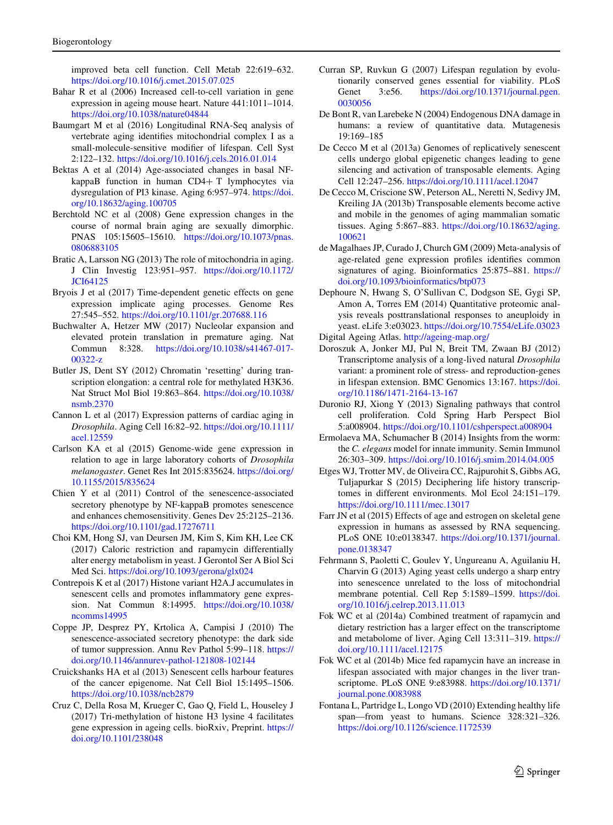<span id="page-14-0"></span>improved beta cell function. Cell Metab 22:619–632. <https://doi.org/10.1016/j.cmet.2015.07.025>

- Bahar R et al (2006) Increased cell-to-cell variation in gene expression in ageing mouse heart. Nature 441:1011–1014. <https://doi.org/10.1038/nature04844>
- Baumgart M et al (2016) Longitudinal RNA-Seq analysis of vertebrate aging identifies mitochondrial complex I as a small-molecule-sensitive modifier of lifespan. Cell Syst 2:122–132. <https://doi.org/10.1016/j.cels.2016.01.014>
- Bektas A et al (2014) Age-associated changes in basal NFkappaB function in human  $CD4+T$  lymphocytes via dysregulation of PI3 kinase. Aging 6:957–974. [https://doi.](https://doi.org/10.18632/aging.100705) [org/10.18632/aging.100705](https://doi.org/10.18632/aging.100705)
- Berchtold NC et al (2008) Gene expression changes in the course of normal brain aging are sexually dimorphic. PNAS 105:15605–15610. [https://doi.org/10.1073/pnas.](https://doi.org/10.1073/pnas.0806883105) [0806883105](https://doi.org/10.1073/pnas.0806883105)
- Bratic A, Larsson NG (2013) The role of mitochondria in aging. J Clin Investig 123:951–957. [https://doi.org/10.1172/](https://doi.org/10.1172/JCI64125) [JCI64125](https://doi.org/10.1172/JCI64125)
- Bryois J et al (2017) Time-dependent genetic effects on gene expression implicate aging processes. Genome Res 27:545–552. <https://doi.org/10.1101/gr.207688.116>
- Buchwalter A, Hetzer MW (2017) Nucleolar expansion and elevated protein translation in premature aging. Nat Commun 8:328. [https://doi.org/10.1038/s41467-017-](https://doi.org/10.1038/s41467-017-00322-z) [00322-z](https://doi.org/10.1038/s41467-017-00322-z)
- Butler JS, Dent SY (2012) Chromatin 'resetting' during transcription elongation: a central role for methylated H3K36. Nat Struct Mol Biol 19:863–864. [https://doi.org/10.1038/](https://doi.org/10.1038/nsmb.2370) [nsmb.2370](https://doi.org/10.1038/nsmb.2370)
- Cannon L et al (2017) Expression patterns of cardiac aging in Drosophila. Aging Cell 16:82–92. [https://doi.org/10.1111/](https://doi.org/10.1111/acel.12559) [acel.12559](https://doi.org/10.1111/acel.12559)
- Carlson KA et al (2015) Genome-wide gene expression in relation to age in large laboratory cohorts of Drosophila melanogaster. Genet Res Int 2015:835624. [https://doi.org/](https://doi.org/10.1155/2015/835624) [10.1155/2015/835624](https://doi.org/10.1155/2015/835624)
- Chien Y et al (2011) Control of the senescence-associated secretory phenotype by NF-kappaB promotes senescence and enhances chemosensitivity. Genes Dev 25:2125–2136. <https://doi.org/10.1101/gad.17276711>
- Choi KM, Hong SJ, van Deursen JM, Kim S, Kim KH, Lee CK (2017) Caloric restriction and rapamycin differentially alter energy metabolism in yeast. J Gerontol Ser A Biol Sci Med Sci. <https://doi.org/10.1093/gerona/glx024>
- Contrepois K et al (2017) Histone variant H2A.J accumulates in senescent cells and promotes inflammatory gene expression. Nat Commun 8:14995. [https://doi.org/10.1038/](https://doi.org/10.1038/ncomms14995) [ncomms14995](https://doi.org/10.1038/ncomms14995)
- Coppe JP, Desprez PY, Krtolica A, Campisi J (2010) The senescence-associated secretory phenotype: the dark side of tumor suppression. Annu Rev Pathol 5:99–118. [https://](https://doi.org/10.1146/annurev-pathol-121808-102144) [doi.org/10.1146/annurev-pathol-121808-102144](https://doi.org/10.1146/annurev-pathol-121808-102144)
- Cruickshanks HA et al (2013) Senescent cells harbour features of the cancer epigenome. Nat Cell Biol 15:1495–1506. <https://doi.org/10.1038/ncb2879>
- Cruz C, Della Rosa M, Krueger C, Gao Q, Field L, Houseley J (2017) Tri-methylation of histone H3 lysine 4 facilitates gene expression in ageing cells. bioRxiv, Preprint. [https://](https://doi.org/10.1101/238048) [doi.org/10.1101/238048](https://doi.org/10.1101/238048)
- Curran SP, Ruvkun G (2007) Lifespan regulation by evolutionarily conserved genes essential for viability. PLoS Genet 3:e56. [https://doi.org/10.1371/journal.pgen.](https://doi.org/10.1371/journal.pgen.0030056) [0030056](https://doi.org/10.1371/journal.pgen.0030056)
- De Bont R, van Larebeke N (2004) Endogenous DNA damage in humans: a review of quantitative data. Mutagenesis 19:169–185
- De Cecco M et al (2013a) Genomes of replicatively senescent cells undergo global epigenetic changes leading to gene silencing and activation of transposable elements. Aging Cell 12:247–256. <https://doi.org/10.1111/acel.12047>
- De Cecco M, Criscione SW, Peterson AL, Neretti N, Sedivy JM, Kreiling JA (2013b) Transposable elements become active and mobile in the genomes of aging mammalian somatic tissues. Aging 5:867–883. [https://doi.org/10.18632/aging.](https://doi.org/10.18632/aging.100621) [100621](https://doi.org/10.18632/aging.100621)
- de Magalhaes JP, Curado J, Church GM (2009) Meta-analysis of age-related gene expression profiles identifies common signatures of aging. Bioinformatics 25:875–881. [https://](https://doi.org/10.1093/bioinformatics/btp073) [doi.org/10.1093/bioinformatics/btp073](https://doi.org/10.1093/bioinformatics/btp073)
- Dephoure N, Hwang S, O'Sullivan C, Dodgson SE, Gygi SP, Amon A, Torres EM (2014) Quantitative proteomic analysis reveals posttranslational responses to aneuploidy in yeast. eLife 3:e03023. <https://doi.org/10.7554/eLife.03023>

Digital Ageing Atlas. <http://ageing-map.org/>

- Doroszuk A, Jonker MJ, Pul N, Breit TM, Zwaan BJ (2012) Transcriptome analysis of a long-lived natural Drosophila variant: a prominent role of stress- and reproduction-genes in lifespan extension. BMC Genomics 13:167. [https://doi.](https://doi.org/10.1186/1471-2164-13-167) [org/10.1186/1471-2164-13-167](https://doi.org/10.1186/1471-2164-13-167)
- Duronio RJ, Xiong Y (2013) Signaling pathways that control cell proliferation. Cold Spring Harb Perspect Biol 5:a008904. <https://doi.org/10.1101/cshperspect.a008904>
- Ermolaeva MA, Schumacher B (2014) Insights from the worm: the C. elegans model for innate immunity. Semin Immunol 26:303–309. <https://doi.org/10.1016/j.smim.2014.04.005>
- Etges WJ, Trotter MV, de Oliveira CC, Rajpurohit S, Gibbs AG, Tuljapurkar S (2015) Deciphering life history transcriptomes in different environments. Mol Ecol 24:151–179. <https://doi.org/10.1111/mec.13017>
- Farr JN et al (2015) Effects of age and estrogen on skeletal gene expression in humans as assessed by RNA sequencing. PLoS ONE 10:e0138347. [https://doi.org/10.1371/journal.](https://doi.org/10.1371/journal.pone.0138347) [pone.0138347](https://doi.org/10.1371/journal.pone.0138347)
- Fehrmann S, Paoletti C, Goulev Y, Ungureanu A, Aguilaniu H, Charvin G (2013) Aging yeast cells undergo a sharp entry into senescence unrelated to the loss of mitochondrial membrane potential. Cell Rep 5:1589–1599. [https://doi.](https://doi.org/10.1016/j.celrep.2013.11.013) [org/10.1016/j.celrep.2013.11.013](https://doi.org/10.1016/j.celrep.2013.11.013)
- Fok WC et al (2014a) Combined treatment of rapamycin and dietary restriction has a larger effect on the transcriptome and metabolome of liver. Aging Cell 13:311–319. [https://](https://doi.org/10.1111/acel.12175) [doi.org/10.1111/acel.12175](https://doi.org/10.1111/acel.12175)
- Fok WC et al (2014b) Mice fed rapamycin have an increase in lifespan associated with major changes in the liver transcriptome. PLoS ONE 9:e83988. [https://doi.org/10.1371/](https://doi.org/10.1371/journal.pone.0083988) [journal.pone.0083988](https://doi.org/10.1371/journal.pone.0083988)
- Fontana L, Partridge L, Longo VD (2010) Extending healthy life span—from yeast to humans. Science 328:321–326. <https://doi.org/10.1126/science.1172539>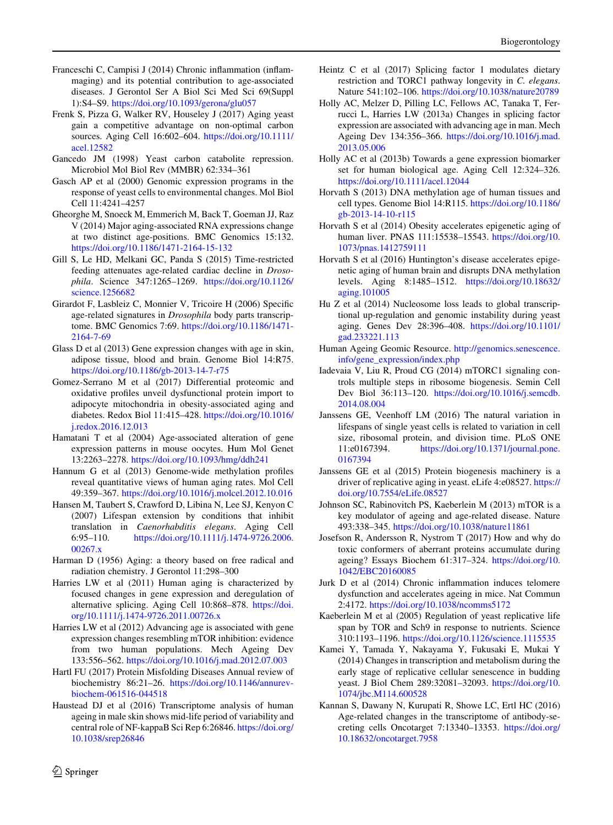- <span id="page-15-0"></span>Franceschi C, Campisi J (2014) Chronic inflammation (inflammaging) and its potential contribution to age-associated diseases. J Gerontol Ser A Biol Sci Med Sci 69(Suppl 1):S4–S9. <https://doi.org/10.1093/gerona/glu057>
- Frenk S, Pizza G, Walker RV, Houseley J (2017) Aging yeast gain a competitive advantage on non-optimal carbon sources. Aging Cell 16:602–604. [https://doi.org/10.1111/](https://doi.org/10.1111/acel.12582) [acel.12582](https://doi.org/10.1111/acel.12582)
- Gancedo JM (1998) Yeast carbon catabolite repression. Microbiol Mol Biol Rev (MMBR) 62:334–361
- Gasch AP et al (2000) Genomic expression programs in the response of yeast cells to environmental changes. Mol Biol Cell 11:4241–4257
- Gheorghe M, Snoeck M, Emmerich M, Back T, Goeman JJ, Raz V (2014) Major aging-associated RNA expressions change at two distinct age-positions. BMC Genomics 15:132. <https://doi.org/10.1186/1471-2164-15-132>
- Gill S, Le HD, Melkani GC, Panda S (2015) Time-restricted feeding attenuates age-related cardiac decline in Drosophila. Science 347:1265–1269. [https://doi.org/10.1126/](https://doi.org/10.1126/science.1256682) [science.1256682](https://doi.org/10.1126/science.1256682)
- Girardot F, Lasbleiz C, Monnier V, Tricoire H (2006) Specific age-related signatures in Drosophila body parts transcriptome. BMC Genomics 7:69. [https://doi.org/10.1186/1471-](https://doi.org/10.1186/1471-2164-7-69) [2164-7-69](https://doi.org/10.1186/1471-2164-7-69)
- Glass D et al (2013) Gene expression changes with age in skin, adipose tissue, blood and brain. Genome Biol 14:R75. <https://doi.org/10.1186/gb-2013-14-7-r75>
- Gomez-Serrano M et al (2017) Differential proteomic and oxidative profiles unveil dysfunctional protein import to adipocyte mitochondria in obesity-associated aging and diabetes. Redox Biol 11:415–428. [https://doi.org/10.1016/](https://doi.org/10.1016/j.redox.2016.12.013) [j.redox.2016.12.013](https://doi.org/10.1016/j.redox.2016.12.013)
- Hamatani T et al (2004) Age-associated alteration of gene expression patterns in mouse oocytes. Hum Mol Genet 13:2263–2278. <https://doi.org/10.1093/hmg/ddh241>
- Hannum G et al (2013) Genome-wide methylation profiles reveal quantitative views of human aging rates. Mol Cell 49:359–367. <https://doi.org/10.1016/j.molcel.2012.10.016>
- Hansen M, Taubert S, Crawford D, Libina N, Lee SJ, Kenyon C (2007) Lifespan extension by conditions that inhibit translation in Caenorhabditis elegans. Aging Cell 6:95–110. [https://doi.org/10.1111/j.1474-9726.2006.](https://doi.org/10.1111/j.1474-9726.2006.00267.x) [00267.x](https://doi.org/10.1111/j.1474-9726.2006.00267.x)
- Harman D (1956) Aging: a theory based on free radical and radiation chemistry. J Gerontol 11:298–300
- Harries LW et al (2011) Human aging is characterized by focused changes in gene expression and deregulation of alternative splicing. Aging Cell 10:868–878. [https://doi.](https://doi.org/10.1111/j.1474-9726.2011.00726.x) [org/10.1111/j.1474-9726.2011.00726.x](https://doi.org/10.1111/j.1474-9726.2011.00726.x)
- Harries LW et al (2012) Advancing age is associated with gene expression changes resembling mTOR inhibition: evidence from two human populations. Mech Ageing Dev 133:556–562. <https://doi.org/10.1016/j.mad.2012.07.003>
- Hartl FU (2017) Protein Misfolding Diseases Annual review of biochemistry 86:21–26. [https://doi.org/10.1146/annurev](https://doi.org/10.1146/annurev-biochem-061516-044518)[biochem-061516-044518](https://doi.org/10.1146/annurev-biochem-061516-044518)
- Haustead DJ et al (2016) Transcriptome analysis of human ageing in male skin shows mid-life period of variability and central role of NF-kappaB Sci Rep 6:26846. [https://doi.org/](https://doi.org/10.1038/srep26846) [10.1038/srep26846](https://doi.org/10.1038/srep26846)
- Heintz C et al (2017) Splicing factor 1 modulates dietary restriction and TORC1 pathway longevity in C. elegans. Nature 541:102–106. <https://doi.org/10.1038/nature20789>
- Holly AC, Melzer D, Pilling LC, Fellows AC, Tanaka T, Ferrucci L, Harries LW (2013a) Changes in splicing factor expression are associated with advancing age in man. Mech Ageing Dev 134:356–366. [https://doi.org/10.1016/j.mad.](https://doi.org/10.1016/j.mad.2013.05.006) [2013.05.006](https://doi.org/10.1016/j.mad.2013.05.006)
- Holly AC et al (2013b) Towards a gene expression biomarker set for human biological age. Aging Cell 12:324–326. <https://doi.org/10.1111/acel.12044>
- Horvath S (2013) DNA methylation age of human tissues and cell types. Genome Biol 14:R115. [https://doi.org/10.1186/](https://doi.org/10.1186/gb-2013-14-10-r115) [gb-2013-14-10-r115](https://doi.org/10.1186/gb-2013-14-10-r115)
- Horvath S et al (2014) Obesity accelerates epigenetic aging of human liver. PNAS 111:15538–15543. [https://doi.org/10.](https://doi.org/10.1073/pnas.1412759111) [1073/pnas.1412759111](https://doi.org/10.1073/pnas.1412759111)
- Horvath S et al (2016) Huntington's disease accelerates epigenetic aging of human brain and disrupts DNA methylation levels. Aging 8:1485–1512. [https://doi.org/10.18632/](https://doi.org/10.18632/aging.101005) [aging.101005](https://doi.org/10.18632/aging.101005)
- Hu Z et al (2014) Nucleosome loss leads to global transcriptional up-regulation and genomic instability during yeast aging. Genes Dev 28:396–408. [https://doi.org/10.1101/](https://doi.org/10.1101/gad.233221.113) [gad.233221.113](https://doi.org/10.1101/gad.233221.113)
- Human Ageing Geomic Resource. [http://genomics.senescence.](http://genomics.senescence.info/gene_expression/index.php) [info/gene\\_expression/index.php](http://genomics.senescence.info/gene_expression/index.php)
- Iadevaia V, Liu R, Proud CG (2014) mTORC1 signaling controls multiple steps in ribosome biogenesis. Semin Cell Dev Biol 36:113–120. [https://doi.org/10.1016/j.semcdb.](https://doi.org/10.1016/j.semcdb.2014.08.004) [2014.08.004](https://doi.org/10.1016/j.semcdb.2014.08.004)
- Janssens GE, Veenhoff LM (2016) The natural variation in lifespans of single yeast cells is related to variation in cell size, ribosomal protein, and division time. PLoS ONE 11:e0167394. [https://doi.org/10.1371/journal.pone.](https://doi.org/10.1371/journal.pone.0167394) [0167394](https://doi.org/10.1371/journal.pone.0167394)
- Janssens GE et al (2015) Protein biogenesis machinery is a driver of replicative aging in yeast. eLife 4:e08527. [https://](https://doi.org/10.7554/eLife.08527) [doi.org/10.7554/eLife.08527](https://doi.org/10.7554/eLife.08527)
- Johnson SC, Rabinovitch PS, Kaeberlein M (2013) mTOR is a key modulator of ageing and age-related disease. Nature 493:338–345. <https://doi.org/10.1038/nature11861>
- Josefson R, Andersson R, Nystrom T (2017) How and why do toxic conformers of aberrant proteins accumulate during ageing? Essays Biochem 61:317–324. [https://doi.org/10.](https://doi.org/10.1042/EBC20160085) [1042/EBC20160085](https://doi.org/10.1042/EBC20160085)
- Jurk D et al (2014) Chronic inflammation induces telomere dysfunction and accelerates ageing in mice. Nat Commun 2:4172. <https://doi.org/10.1038/ncomms5172>
- Kaeberlein M et al (2005) Regulation of yeast replicative life span by TOR and Sch9 in response to nutrients. Science 310:1193–1196. <https://doi.org/10.1126/science.1115535>
- Kamei Y, Tamada Y, Nakayama Y, Fukusaki E, Mukai Y (2014) Changes in transcription and metabolism during the early stage of replicative cellular senescence in budding yeast. J Biol Chem 289:32081–32093. [https://doi.org/10.](https://doi.org/10.1074/jbc.M114.600528) [1074/jbc.M114.600528](https://doi.org/10.1074/jbc.M114.600528)
- Kannan S, Dawany N, Kurupati R, Showe LC, Ertl HC (2016) Age-related changes in the transcriptome of antibody-secreting cells Oncotarget 7:13340–13353. [https://doi.org/](https://doi.org/10.18632/oncotarget.7958) [10.18632/oncotarget.7958](https://doi.org/10.18632/oncotarget.7958)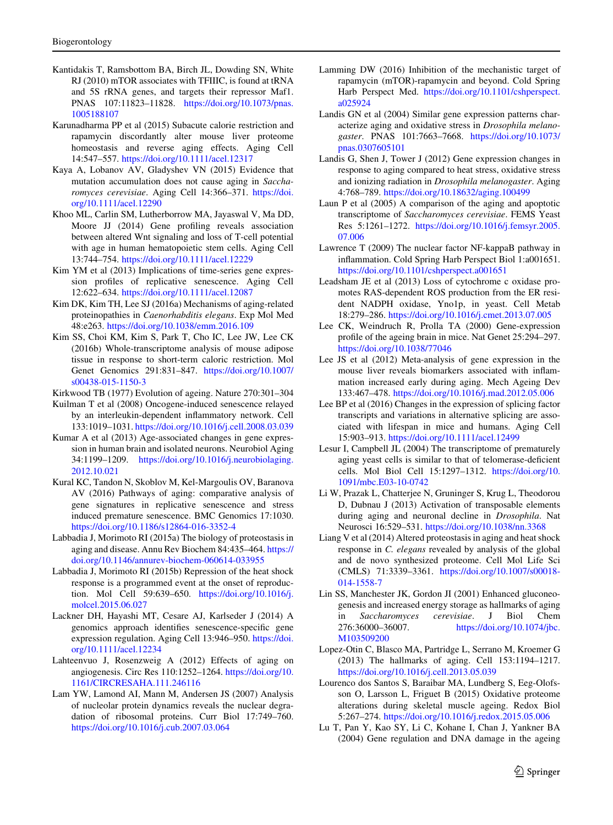- <span id="page-16-0"></span>Kantidakis T, Ramsbottom BA, Birch JL, Dowding SN, White RJ (2010) mTOR associates with TFIIIC, is found at tRNA and 5S rRNA genes, and targets their repressor Maf1. PNAS 107:11823–11828. [https://doi.org/10.1073/pnas.](https://doi.org/10.1073/pnas.1005188107) [1005188107](https://doi.org/10.1073/pnas.1005188107)
- Karunadharma PP et al (2015) Subacute calorie restriction and rapamycin discordantly alter mouse liver proteome homeostasis and reverse aging effects. Aging Cell 14:547–557. <https://doi.org/10.1111/acel.12317>
- Kaya A, Lobanov AV, Gladyshev VN (2015) Evidence that mutation accumulation does not cause aging in Saccharomyces cerevisiae. Aging Cell 14:366–371. [https://doi.](https://doi.org/10.1111/acel.12290) [org/10.1111/acel.12290](https://doi.org/10.1111/acel.12290)
- Khoo ML, Carlin SM, Lutherborrow MA, Jayaswal V, Ma DD, Moore JJ (2014) Gene profiling reveals association between altered Wnt signaling and loss of T-cell potential with age in human hematopoietic stem cells. Aging Cell 13:744–754. <https://doi.org/10.1111/acel.12229>
- Kim YM et al (2013) Implications of time-series gene expression profiles of replicative senescence. Aging Cell 12:622–634. <https://doi.org/10.1111/acel.12087>
- Kim DK, Kim TH, Lee SJ (2016a) Mechanisms of aging-related proteinopathies in Caenorhabditis elegans. Exp Mol Med 48:e263. <https://doi.org/10.1038/emm.2016.109>
- Kim SS, Choi KM, Kim S, Park T, Cho IC, Lee JW, Lee CK (2016b) Whole-transcriptome analysis of mouse adipose tissue in response to short-term caloric restriction. Mol Genet Genomics 291:831–847. [https://doi.org/10.1007/](https://doi.org/10.1007/s00438-015-1150-3) [s00438-015-1150-3](https://doi.org/10.1007/s00438-015-1150-3)
- Kirkwood TB (1977) Evolution of ageing. Nature 270:301–304
- Kuilman T et al (2008) Oncogene-induced senescence relayed by an interleukin-dependent inflammatory network. Cell 133:1019–1031. <https://doi.org/10.1016/j.cell.2008.03.039>
- Kumar A et al (2013) Age-associated changes in gene expression in human brain and isolated neurons. Neurobiol Aging 34:1199–1209. [https://doi.org/10.1016/j.neurobiolaging.](https://doi.org/10.1016/j.neurobiolaging.2012.10.021) [2012.10.021](https://doi.org/10.1016/j.neurobiolaging.2012.10.021)
- Kural KC, Tandon N, Skoblov M, Kel-Margoulis OV, Baranova AV (2016) Pathways of aging: comparative analysis of gene signatures in replicative senescence and stress induced premature senescence. BMC Genomics 17:1030. <https://doi.org/10.1186/s12864-016-3352-4>
- Labbadia J, Morimoto RI (2015a) The biology of proteostasis in aging and disease. Annu Rev Biochem 84:435–464. [https://](https://doi.org/10.1146/annurev-biochem-060614-033955) [doi.org/10.1146/annurev-biochem-060614-033955](https://doi.org/10.1146/annurev-biochem-060614-033955)
- Labbadia J, Morimoto RI (2015b) Repression of the heat shock response is a programmed event at the onset of reproduction. Mol Cell 59:639–650. [https://doi.org/10.1016/j.](https://doi.org/10.1016/j.molcel.2015.06.027) [molcel.2015.06.027](https://doi.org/10.1016/j.molcel.2015.06.027)
- Lackner DH, Hayashi MT, Cesare AJ, Karlseder J (2014) A genomics approach identifies senescence-specific gene expression regulation. Aging Cell 13:946–950. [https://doi.](https://doi.org/10.1111/acel.12234) [org/10.1111/acel.12234](https://doi.org/10.1111/acel.12234)
- Lahteenvuo J, Rosenzweig A (2012) Effects of aging on angiogenesis. Circ Res 110:1252–1264. [https://doi.org/10.](https://doi.org/10.1161/CIRCRESAHA.111.246116) [1161/CIRCRESAHA.111.246116](https://doi.org/10.1161/CIRCRESAHA.111.246116)
- Lam YW, Lamond AI, Mann M, Andersen JS (2007) Analysis of nucleolar protein dynamics reveals the nuclear degradation of ribosomal proteins. Curr Biol 17:749–760. <https://doi.org/10.1016/j.cub.2007.03.064>
- Lamming DW (2016) Inhibition of the mechanistic target of rapamycin (mTOR)-rapamycin and beyond. Cold Spring Harb Perspect Med. [https://doi.org/10.1101/cshperspect.](https://doi.org/10.1101/cshperspect.a025924) [a025924](https://doi.org/10.1101/cshperspect.a025924)
- Landis GN et al (2004) Similar gene expression patterns characterize aging and oxidative stress in Drosophila melanogaster. PNAS 101:7663–7668. [https://doi.org/10.1073/](https://doi.org/10.1073/pnas.0307605101) [pnas.0307605101](https://doi.org/10.1073/pnas.0307605101)
- Landis G, Shen J, Tower J (2012) Gene expression changes in response to aging compared to heat stress, oxidative stress and ionizing radiation in Drosophila melanogaster. Aging 4:768–789. <https://doi.org/10.18632/aging.100499>
- Laun P et al (2005) A comparison of the aging and apoptotic transcriptome of Saccharomyces cerevisiae. FEMS Yeast Res 5:1261–1272. [https://doi.org/10.1016/j.femsyr.2005.](https://doi.org/10.1016/j.femsyr.2005.07.006) [07.006](https://doi.org/10.1016/j.femsyr.2005.07.006)
- Lawrence T (2009) The nuclear factor NF-kappaB pathway in inflammation. Cold Spring Harb Perspect Biol 1:a001651. <https://doi.org/10.1101/cshperspect.a001651>
- Leadsham JE et al (2013) Loss of cytochrome c oxidase promotes RAS-dependent ROS production from the ER resident NADPH oxidase, Yno1p, in yeast. Cell Metab 18:279–286. <https://doi.org/10.1016/j.cmet.2013.07.005>
- Lee CK, Weindruch R, Prolla TA (2000) Gene-expression profile of the ageing brain in mice. Nat Genet 25:294–297. <https://doi.org/10.1038/77046>
- Lee JS et al (2012) Meta-analysis of gene expression in the mouse liver reveals biomarkers associated with inflammation increased early during aging. Mech Ageing Dev 133:467–478. <https://doi.org/10.1016/j.mad.2012.05.006>
- Lee BP et al (2016) Changes in the expression of splicing factor transcripts and variations in alternative splicing are associated with lifespan in mice and humans. Aging Cell 15:903–913. <https://doi.org/10.1111/acel.12499>
- Lesur I, Campbell JL (2004) The transcriptome of prematurely aging yeast cells is similar to that of telomerase-deficient cells. Mol Biol Cell 15:1297–1312. [https://doi.org/10.](https://doi.org/10.1091/mbc.E03-10-0742) [1091/mbc.E03-10-0742](https://doi.org/10.1091/mbc.E03-10-0742)
- Li W, Prazak L, Chatterjee N, Gruninger S, Krug L, Theodorou D, Dubnau J (2013) Activation of transposable elements during aging and neuronal decline in Drosophila. Nat Neurosci 16:529–531. <https://doi.org/10.1038/nn.3368>
- Liang V et al (2014) Altered proteostasis in aging and heat shock response in C. elegans revealed by analysis of the global and de novo synthesized proteome. Cell Mol Life Sci (CMLS) 71:3339–3361. [https://doi.org/10.1007/s00018-](https://doi.org/10.1007/s00018-014-1558-7) [014-1558-7](https://doi.org/10.1007/s00018-014-1558-7)
- Lin SS, Manchester JK, Gordon JI (2001) Enhanced gluconeogenesis and increased energy storage as hallmarks of aging in Saccharomyces cerevisiae. J Biol Chem 276:36000–36007. [https://doi.org/10.1074/jbc.](https://doi.org/10.1074/jbc.M103509200) [M103509200](https://doi.org/10.1074/jbc.M103509200)
- Lopez-Otin C, Blasco MA, Partridge L, Serrano M, Kroemer G (2013) The hallmarks of aging. Cell 153:1194–1217. <https://doi.org/10.1016/j.cell.2013.05.039>
- Lourenco dos Santos S, Baraibar MA, Lundberg S, Eeg-Olofsson O, Larsson L, Friguet B (2015) Oxidative proteome alterations during skeletal muscle ageing. Redox Biol 5:267–274. <https://doi.org/10.1016/j.redox.2015.05.006>
- Lu T, Pan Y, Kao SY, Li C, Kohane I, Chan J, Yankner BA (2004) Gene regulation and DNA damage in the ageing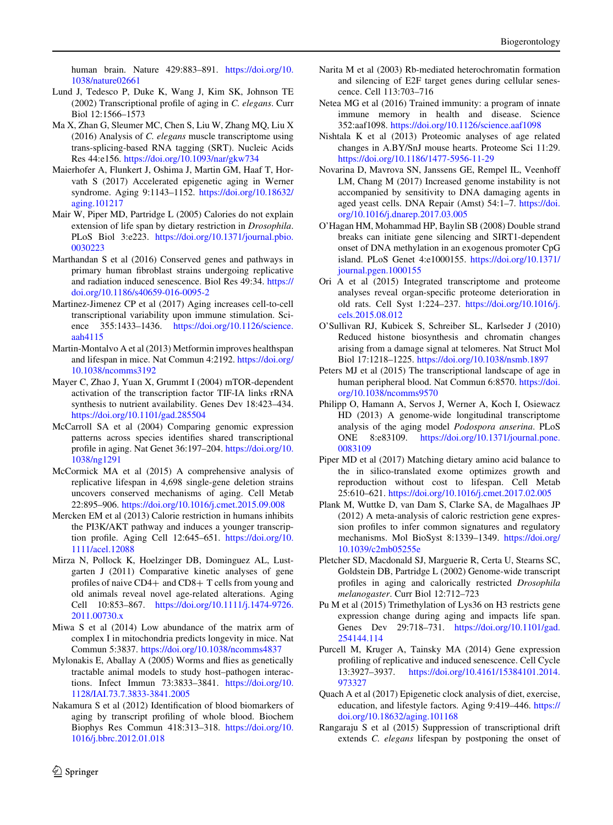<span id="page-17-0"></span>human brain. Nature 429:883–891. [https://doi.org/10.](https://doi.org/10.1038/nature02661) [1038/nature02661](https://doi.org/10.1038/nature02661)

- Lund J, Tedesco P, Duke K, Wang J, Kim SK, Johnson TE (2002) Transcriptional profile of aging in C. elegans. Curr Biol 12:1566–1573
- Ma X, Zhan G, Sleumer MC, Chen S, Liu W, Zhang MQ, Liu X (2016) Analysis of C. elegans muscle transcriptome using trans-splicing-based RNA tagging (SRT). Nucleic Acids Res 44:e156. <https://doi.org/10.1093/nar/gkw734>
- Maierhofer A, Flunkert J, Oshima J, Martin GM, Haaf T, Horvath S (2017) Accelerated epigenetic aging in Werner syndrome. Aging 9:1143–1152. [https://doi.org/10.18632/](https://doi.org/10.18632/aging.101217) [aging.101217](https://doi.org/10.18632/aging.101217)
- Mair W, Piper MD, Partridge L (2005) Calories do not explain extension of life span by dietary restriction in Drosophila. PLoS Biol 3:e223. [https://doi.org/10.1371/journal.pbio.](https://doi.org/10.1371/journal.pbio.0030223) [0030223](https://doi.org/10.1371/journal.pbio.0030223)
- Marthandan S et al (2016) Conserved genes and pathways in primary human fibroblast strains undergoing replicative and radiation induced senescence. Biol Res 49:34. [https://](https://doi.org/10.1186/s40659-016-0095-2) [doi.org/10.1186/s40659-016-0095-2](https://doi.org/10.1186/s40659-016-0095-2)
- Martinez-Jimenez CP et al (2017) Aging increases cell-to-cell transcriptional variability upon immune stimulation. Science 355:1433–1436. [https://doi.org/10.1126/science.](https://doi.org/10.1126/science.aah4115) [aah4115](https://doi.org/10.1126/science.aah4115)
- Martin-Montalvo A et al (2013) Metformin improves healthspan and lifespan in mice. Nat Commun 4:2192. [https://doi.org/](https://doi.org/10.1038/ncomms3192) [10.1038/ncomms3192](https://doi.org/10.1038/ncomms3192)
- Mayer C, Zhao J, Yuan X, Grummt I (2004) mTOR-dependent activation of the transcription factor TIF-IA links rRNA synthesis to nutrient availability. Genes Dev 18:423–434. <https://doi.org/10.1101/gad.285504>
- McCarroll SA et al (2004) Comparing genomic expression patterns across species identifies shared transcriptional profile in aging. Nat Genet 36:197–204. [https://doi.org/10.](https://doi.org/10.1038/ng1291) [1038/ng1291](https://doi.org/10.1038/ng1291)
- McCormick MA et al (2015) A comprehensive analysis of replicative lifespan in 4,698 single-gene deletion strains uncovers conserved mechanisms of aging. Cell Metab 22:895–906. <https://doi.org/10.1016/j.cmet.2015.09.008>
- Mercken EM et al (2013) Calorie restriction in humans inhibits the PI3K/AKT pathway and induces a younger transcription profile. Aging Cell 12:645–651. [https://doi.org/10.](https://doi.org/10.1111/acel.12088) [1111/acel.12088](https://doi.org/10.1111/acel.12088)
- Mirza N, Pollock K, Hoelzinger DB, Dominguez AL, Lustgarten J (2011) Comparative kinetic analyses of gene profiles of naive  $CD4+$  and  $CD8+$  T cells from young and old animals reveal novel age-related alterations. Aging Cell 10:853–867. [https://doi.org/10.1111/j.1474-9726.](https://doi.org/10.1111/j.1474-9726.2011.00730.x) [2011.00730.x](https://doi.org/10.1111/j.1474-9726.2011.00730.x)
- Miwa S et al (2014) Low abundance of the matrix arm of complex I in mitochondria predicts longevity in mice. Nat Commun 5:3837. <https://doi.org/10.1038/ncomms4837>
- Mylonakis E, Aballay A (2005) Worms and flies as genetically tractable animal models to study host–pathogen interactions. Infect Immun 73:3833–3841. [https://doi.org/10.](https://doi.org/10.1128/IAI.73.7.3833-3841.2005) [1128/IAI.73.7.3833-3841.2005](https://doi.org/10.1128/IAI.73.7.3833-3841.2005)
- Nakamura S et al (2012) Identification of blood biomarkers of aging by transcript profiling of whole blood. Biochem Biophys Res Commun 418:313–318. [https://doi.org/10.](https://doi.org/10.1016/j.bbrc.2012.01.018) [1016/j.bbrc.2012.01.018](https://doi.org/10.1016/j.bbrc.2012.01.018)
- Narita M et al (2003) Rb-mediated heterochromatin formation and silencing of E2F target genes during cellular senescence. Cell 113:703–716
- Netea MG et al (2016) Trained immunity: a program of innate immune memory in health and disease. Science 352:aaf1098. <https://doi.org/10.1126/science.aaf1098>
- Nishtala K et al (2013) Proteomic analyses of age related changes in A.BY/SnJ mouse hearts. Proteome Sci 11:29. <https://doi.org/10.1186/1477-5956-11-29>
- Novarina D, Mavrova SN, Janssens GE, Rempel IL, Veenhoff LM, Chang M (2017) Increased genome instability is not accompanied by sensitivity to DNA damaging agents in aged yeast cells. DNA Repair (Amst) 54:1–7. [https://doi.](https://doi.org/10.1016/j.dnarep.2017.03.005) [org/10.1016/j.dnarep.2017.03.005](https://doi.org/10.1016/j.dnarep.2017.03.005)
- O'Hagan HM, Mohammad HP, Baylin SB (2008) Double strand breaks can initiate gene silencing and SIRT1-dependent onset of DNA methylation in an exogenous promoter CpG island. PLoS Genet 4:e1000155. [https://doi.org/10.1371/](https://doi.org/10.1371/journal.pgen.1000155) [journal.pgen.1000155](https://doi.org/10.1371/journal.pgen.1000155)
- Ori A et al (2015) Integrated transcriptome and proteome analyses reveal organ-specific proteome deterioration in old rats. Cell Syst 1:224–237. [https://doi.org/10.1016/j.](https://doi.org/10.1016/j.cels.2015.08.012) [cels.2015.08.012](https://doi.org/10.1016/j.cels.2015.08.012)
- O'Sullivan RJ, Kubicek S, Schreiber SL, Karlseder J (2010) Reduced histone biosynthesis and chromatin changes arising from a damage signal at telomeres. Nat Struct Mol Biol 17:1218–1225. <https://doi.org/10.1038/nsmb.1897>
- Peters MJ et al (2015) The transcriptional landscape of age in human peripheral blood. Nat Commun 6:8570. [https://doi.](https://doi.org/10.1038/ncomms9570) [org/10.1038/ncomms9570](https://doi.org/10.1038/ncomms9570)
- Philipp O, Hamann A, Servos J, Werner A, Koch I, Osiewacz HD (2013) A genome-wide longitudinal transcriptome analysis of the aging model Podospora anserina. PLoS ONE 8:e83109. [https://doi.org/10.1371/journal.pone.](https://doi.org/10.1371/journal.pone.0083109) [0083109](https://doi.org/10.1371/journal.pone.0083109)
- Piper MD et al (2017) Matching dietary amino acid balance to the in silico-translated exome optimizes growth and reproduction without cost to lifespan. Cell Metab 25:610–621. <https://doi.org/10.1016/j.cmet.2017.02.005>
- Plank M, Wuttke D, van Dam S, Clarke SA, de Magalhaes JP (2012) A meta-analysis of caloric restriction gene expression profiles to infer common signatures and regulatory mechanisms. Mol BioSyst 8:1339–1349. [https://doi.org/](https://doi.org/10.1039/c2mb05255e) [10.1039/c2mb05255e](https://doi.org/10.1039/c2mb05255e)
- Pletcher SD, Macdonald SJ, Marguerie R, Certa U, Stearns SC, Goldstein DB, Partridge L (2002) Genome-wide transcript profiles in aging and calorically restricted Drosophila melanogaster. Curr Biol 12:712–723
- Pu M et al (2015) Trimethylation of Lys36 on H3 restricts gene expression change during aging and impacts life span. Genes Dev 29:718–731. [https://doi.org/10.1101/gad.](https://doi.org/10.1101/gad.254144.114) [254144.114](https://doi.org/10.1101/gad.254144.114)
- Purcell M, Kruger A, Tainsky MA (2014) Gene expression profiling of replicative and induced senescence. Cell Cycle 13:3927–3937. [https://doi.org/10.4161/15384101.2014.](https://doi.org/10.4161/15384101.2014.973327) [973327](https://doi.org/10.4161/15384101.2014.973327)
- Quach A et al (2017) Epigenetic clock analysis of diet, exercise, education, and lifestyle factors. Aging 9:419–446. [https://](https://doi.org/10.18632/aging.101168) [doi.org/10.18632/aging.101168](https://doi.org/10.18632/aging.101168)
- Rangaraju S et al (2015) Suppression of transcriptional drift extends C. elegans lifespan by postponing the onset of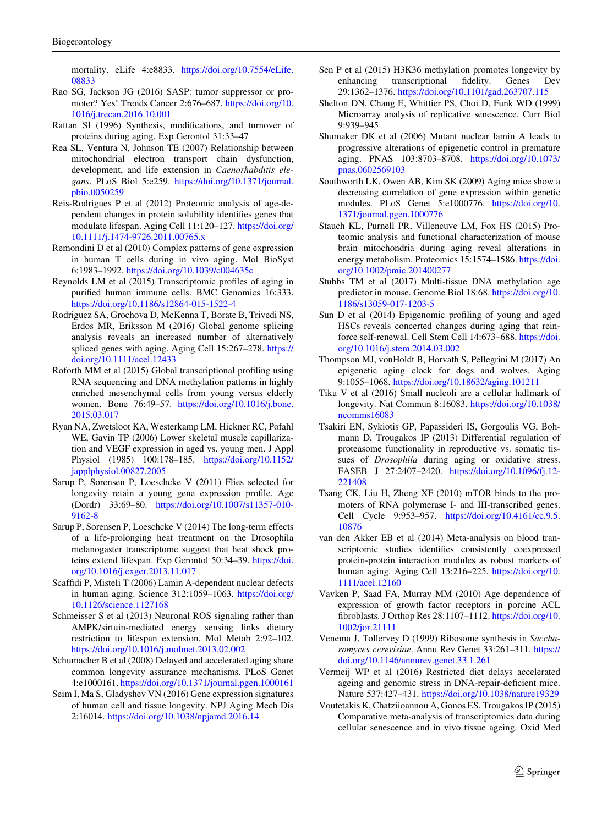<span id="page-18-0"></span>mortality. eLife 4:e8833. [https://doi.org/10.7554/eLife.](https://doi.org/10.7554/eLife.08833) [08833](https://doi.org/10.7554/eLife.08833)

- Rao SG, Jackson JG (2016) SASP: tumor suppressor or promoter? Yes! Trends Cancer 2:676–687. [https://doi.org/10.](https://doi.org/10.1016/j.trecan.2016.10.001) [1016/j.trecan.2016.10.001](https://doi.org/10.1016/j.trecan.2016.10.001)
- Rattan SI (1996) Synthesis, modifications, and turnover of proteins during aging. Exp Gerontol 31:33–47
- Rea SL, Ventura N, Johnson TE (2007) Relationship between mitochondrial electron transport chain dysfunction, development, and life extension in Caenorhabditis elegans. PLoS Biol 5:e259. [https://doi.org/10.1371/journal.](https://doi.org/10.1371/journal.pbio.0050259) [pbio.0050259](https://doi.org/10.1371/journal.pbio.0050259)
- Reis-Rodrigues P et al (2012) Proteomic analysis of age-dependent changes in protein solubility identifies genes that modulate lifespan. Aging Cell 11:120–127. [https://doi.org/](https://doi.org/10.1111/j.1474-9726.2011.00765.x) [10.1111/j.1474-9726.2011.00765.x](https://doi.org/10.1111/j.1474-9726.2011.00765.x)
- Remondini D et al (2010) Complex patterns of gene expression in human T cells during in vivo aging. Mol BioSyst 6:1983–1992. <https://doi.org/10.1039/c004635c>
- Reynolds LM et al (2015) Transcriptomic profiles of aging in purified human immune cells. BMC Genomics 16:333. <https://doi.org/10.1186/s12864-015-1522-4>
- Rodriguez SA, Grochova D, McKenna T, Borate B, Trivedi NS, Erdos MR, Eriksson M (2016) Global genome splicing analysis reveals an increased number of alternatively spliced genes with aging. Aging Cell 15:267–278. [https://](https://doi.org/10.1111/acel.12433) [doi.org/10.1111/acel.12433](https://doi.org/10.1111/acel.12433)
- Roforth MM et al (2015) Global transcriptional profiling using RNA sequencing and DNA methylation patterns in highly enriched mesenchymal cells from young versus elderly women. Bone 76:49–57. [https://doi.org/10.1016/j.bone.](https://doi.org/10.1016/j.bone.2015.03.017) [2015.03.017](https://doi.org/10.1016/j.bone.2015.03.017)
- Ryan NA, Zwetsloot KA, Westerkamp LM, Hickner RC, Pofahl WE, Gavin TP (2006) Lower skeletal muscle capillarization and VEGF expression in aged vs. young men. J Appl Physiol (1985) 100:178–185. [https://doi.org/10.1152/](https://doi.org/10.1152/japplphysiol.00827.2005) [japplphysiol.00827.2005](https://doi.org/10.1152/japplphysiol.00827.2005)
- Sarup P, Sorensen P, Loeschcke V (2011) Flies selected for longevity retain a young gene expression profile. Age (Dordr) 33:69–80. [https://doi.org/10.1007/s11357-010-](https://doi.org/10.1007/s11357-010-9162-8) [9162-8](https://doi.org/10.1007/s11357-010-9162-8)
- Sarup P, Sorensen P, Loeschcke V (2014) The long-term effects of a life-prolonging heat treatment on the Drosophila melanogaster transcriptome suggest that heat shock proteins extend lifespan. Exp Gerontol 50:34–39. [https://doi.](https://doi.org/10.1016/j.exger.2013.11.017) [org/10.1016/j.exger.2013.11.017](https://doi.org/10.1016/j.exger.2013.11.017)
- Scaffidi P, Misteli T (2006) Lamin A-dependent nuclear defects in human aging. Science 312:1059–1063. [https://doi.org/](https://doi.org/10.1126/science.1127168) [10.1126/science.1127168](https://doi.org/10.1126/science.1127168)
- Schmeisser S et al (2013) Neuronal ROS signaling rather than AMPK/sirtuin-mediated energy sensing links dietary restriction to lifespan extension. Mol Metab 2:92–102. <https://doi.org/10.1016/j.molmet.2013.02.002>
- Schumacher B et al (2008) Delayed and accelerated aging share common longevity assurance mechanisms. PLoS Genet 4:e1000161. <https://doi.org/10.1371/journal.pgen.1000161>
- Seim I, Ma S, Gladyshev VN (2016) Gene expression signatures of human cell and tissue longevity. NPJ Aging Mech Dis 2:16014. <https://doi.org/10.1038/npjamd.2016.14>
- Sen P et al (2015) H3K36 methylation promotes longevity by enhancing transcriptional fidelity. Genes Dev 29:1362–1376. <https://doi.org/10.1101/gad.263707.115>
- Shelton DN, Chang E, Whittier PS, Choi D, Funk WD (1999) Microarray analysis of replicative senescence. Curr Biol 9:939–945
- Shumaker DK et al (2006) Mutant nuclear lamin A leads to progressive alterations of epigenetic control in premature aging. PNAS 103:8703–8708. [https://doi.org/10.1073/](https://doi.org/10.1073/pnas.0602569103) [pnas.0602569103](https://doi.org/10.1073/pnas.0602569103)
- Southworth LK, Owen AB, Kim SK (2009) Aging mice show a decreasing correlation of gene expression within genetic modules. PLoS Genet 5:e1000776. [https://doi.org/10.](https://doi.org/10.1371/journal.pgen.1000776) [1371/journal.pgen.1000776](https://doi.org/10.1371/journal.pgen.1000776)
- Stauch KL, Purnell PR, Villeneuve LM, Fox HS (2015) Proteomic analysis and functional characterization of mouse brain mitochondria during aging reveal alterations in energy metabolism. Proteomics 15:1574–1586. [https://doi.](https://doi.org/10.1002/pmic.201400277) [org/10.1002/pmic.201400277](https://doi.org/10.1002/pmic.201400277)
- Stubbs TM et al (2017) Multi-tissue DNA methylation age predictor in mouse. Genome Biol 18:68. [https://doi.org/10.](https://doi.org/10.1186/s13059-017-1203-5) [1186/s13059-017-1203-5](https://doi.org/10.1186/s13059-017-1203-5)
- Sun D et al (2014) Epigenomic profiling of young and aged HSCs reveals concerted changes during aging that reinforce self-renewal. Cell Stem Cell 14:673–688. [https://doi.](https://doi.org/10.1016/j.stem.2014.03.002) [org/10.1016/j.stem.2014.03.002](https://doi.org/10.1016/j.stem.2014.03.002)
- Thompson MJ, vonHoldt B, Horvath S, Pellegrini M (2017) An epigenetic aging clock for dogs and wolves. Aging 9:1055–1068. <https://doi.org/10.18632/aging.101211>
- Tiku V et al (2016) Small nucleoli are a cellular hallmark of longevity. Nat Commun 8:16083. [https://doi.org/10.1038/](https://doi.org/10.1038/ncomms16083) [ncomms16083](https://doi.org/10.1038/ncomms16083)
- Tsakiri EN, Sykiotis GP, Papassideri IS, Gorgoulis VG, Bohmann D, Trougakos IP (2013) Differential regulation of proteasome functionality in reproductive vs. somatic tissues of Drosophila during aging or oxidative stress. FASEB J 27:2407–2420. [https://doi.org/10.1096/fj.12-](https://doi.org/10.1096/fj.12-221408) [221408](https://doi.org/10.1096/fj.12-221408)
- Tsang CK, Liu H, Zheng XF (2010) mTOR binds to the promoters of RNA polymerase I- and III-transcribed genes. Cell Cycle 9:953–957. [https://doi.org/10.4161/cc.9.5.](https://doi.org/10.4161/cc.9.5.10876) [10876](https://doi.org/10.4161/cc.9.5.10876)
- van den Akker EB et al (2014) Meta-analysis on blood transcriptomic studies identifies consistently coexpressed protein-protein interaction modules as robust markers of human aging. Aging Cell 13:216–225. [https://doi.org/10.](https://doi.org/10.1111/acel.12160) [1111/acel.12160](https://doi.org/10.1111/acel.12160)
- Vavken P, Saad FA, Murray MM (2010) Age dependence of expression of growth factor receptors in porcine ACL fibroblasts. J Orthop Res 28:1107–1112. [https://doi.org/10.](https://doi.org/10.1002/jor.21111) [1002/jor.21111](https://doi.org/10.1002/jor.21111)
- Venema J, Tollervey D (1999) Ribosome synthesis in Saccharomyces cerevisiae. Annu Rev Genet 33:261–311. [https://](https://doi.org/10.1146/annurev.genet.33.1.261) [doi.org/10.1146/annurev.genet.33.1.261](https://doi.org/10.1146/annurev.genet.33.1.261)
- Vermeij WP et al (2016) Restricted diet delays accelerated ageing and genomic stress in DNA-repair-deficient mice. Nature 537:427–431. <https://doi.org/10.1038/nature19329>
- Voutetakis K, Chatziioannou A, Gonos ES, Trougakos IP (2015) Comparative meta-analysis of transcriptomics data during cellular senescence and in vivo tissue ageing. Oxid Med